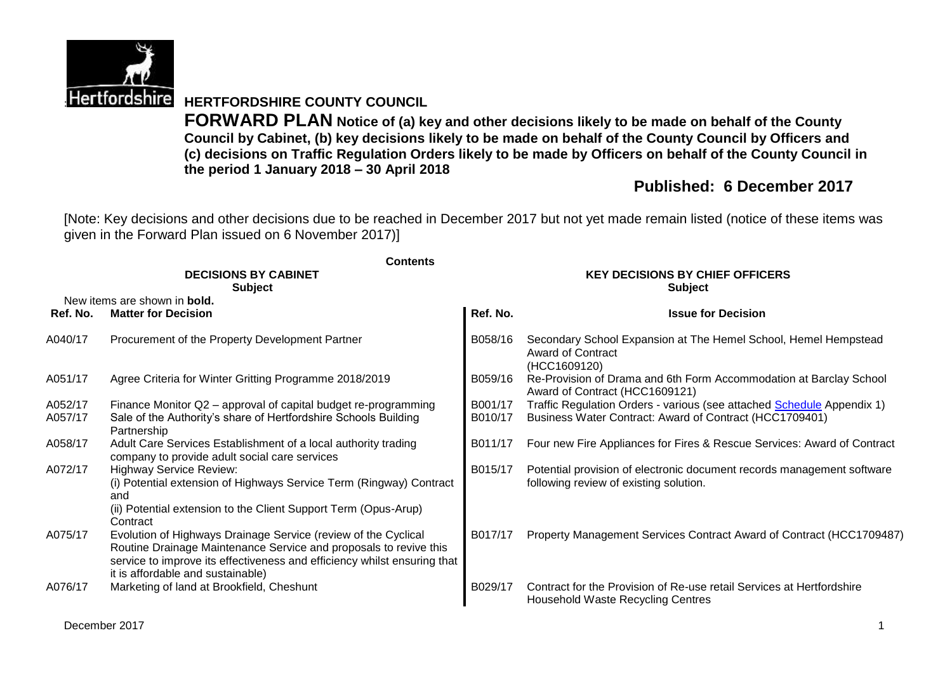

**Hertfordshire HERTFORDSHIRE COUNTY COUNCIL** 

**FORWARD PLAN Notice of (a) key and other decisions likely to be made on behalf of the County Council by Cabinet, (b) key decisions likely to be made on behalf of the County Council by Officers and (c) decisions on Traffic Regulation Orders likely to be made by Officers on behalf of the County Council in the period 1 January 2018 – 30 April 2018**

# **Published: 6 December 2017**

[Note: Key decisions and other decisions due to be reached in December 2017 but not yet made remain listed (notice of these items was given in the Forward Plan issued on 6 November 2017)]

|          | <b>Contents</b>                                                                                                                                                                                                                                      |                                        |                                                                                                                  |  |  |  |
|----------|------------------------------------------------------------------------------------------------------------------------------------------------------------------------------------------------------------------------------------------------------|----------------------------------------|------------------------------------------------------------------------------------------------------------------|--|--|--|
|          | <b>DECISIONS BY CABINET</b>                                                                                                                                                                                                                          | <b>KEY DECISIONS BY CHIEF OFFICERS</b> |                                                                                                                  |  |  |  |
|          | <b>Subject</b><br>New items are shown in <b>bold.</b>                                                                                                                                                                                                |                                        | <b>Subject</b>                                                                                                   |  |  |  |
| Ref. No. | <b>Matter for Decision</b>                                                                                                                                                                                                                           | Ref. No.                               | <b>Issue for Decision</b>                                                                                        |  |  |  |
| A040/17  | Procurement of the Property Development Partner                                                                                                                                                                                                      | B058/16                                | Secondary School Expansion at The Hemel School, Hemel Hempstead<br><b>Award of Contract</b><br>(HCC1609120)      |  |  |  |
| A051/17  | Agree Criteria for Winter Gritting Programme 2018/2019                                                                                                                                                                                               | B059/16                                | Re-Provision of Drama and 6th Form Accommodation at Barclay School<br>Award of Contract (HCC1609121)             |  |  |  |
| A052/17  | Finance Monitor Q2 – approval of capital budget re-programming                                                                                                                                                                                       | B001/17                                | Traffic Regulation Orders - various (see attached <b>Schedule</b> Appendix 1)                                    |  |  |  |
| A057/17  | Sale of the Authority's share of Hertfordshire Schools Building<br>Partnership                                                                                                                                                                       | B010/17                                | Business Water Contract: Award of Contract (HCC1709401)                                                          |  |  |  |
| A058/17  | Adult Care Services Establishment of a local authority trading<br>company to provide adult social care services                                                                                                                                      | B011/17                                | Four new Fire Appliances for Fires & Rescue Services: Award of Contract                                          |  |  |  |
| A072/17  | <b>Highway Service Review:</b><br>(i) Potential extension of Highways Service Term (Ringway) Contract<br>and<br>(ii) Potential extension to the Client Support Term (Opus-Arup)<br>Contract                                                          | B015/17                                | Potential provision of electronic document records management software<br>following review of existing solution. |  |  |  |
| A075/17  | Evolution of Highways Drainage Service (review of the Cyclical<br>Routine Drainage Maintenance Service and proposals to revive this<br>service to improve its effectiveness and efficiency whilst ensuring that<br>it is affordable and sustainable) | B017/17                                | Property Management Services Contract Award of Contract (HCC1709487)                                             |  |  |  |
| A076/17  | Marketing of land at Brookfield, Cheshunt                                                                                                                                                                                                            | B029/17                                | Contract for the Provision of Re-use retail Services at Hertfordshire<br>Household Waste Recycling Centres       |  |  |  |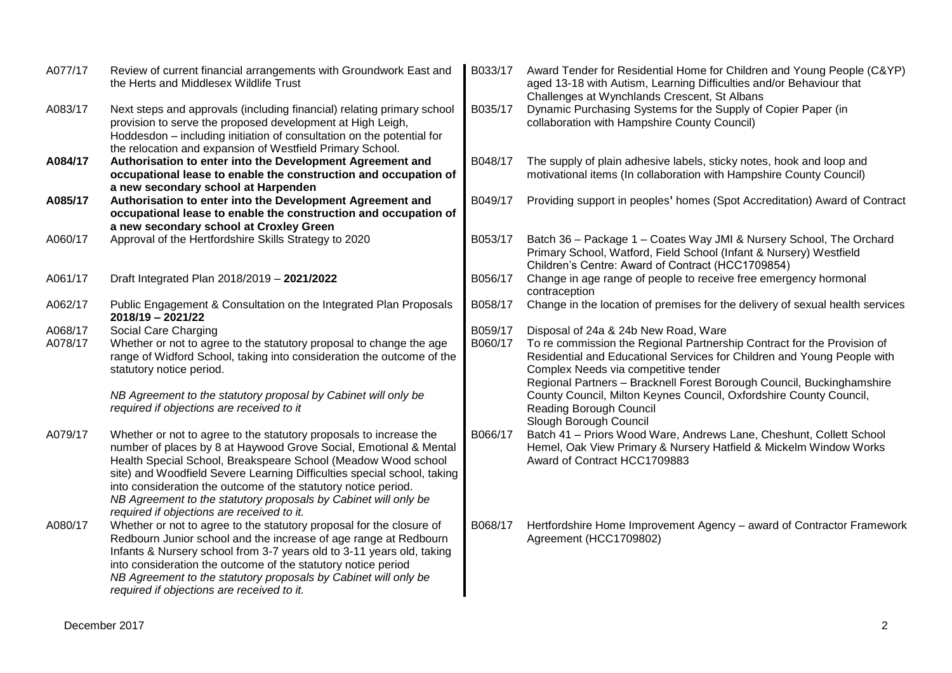| A077/17            | Review of current financial arrangements with Groundwork East and<br>the Herts and Middlesex Wildlife Trust                                                                                                                                                                                                                                                                                                                                                            | B033/17            | Award Tender for Residential Home for Children and Young People (C&YP)<br>aged 13-18 with Autism, Learning Difficulties and/or Behaviour that<br>Challenges at Wynchlands Crescent, St Albans                                                                                                                                                                                     |
|--------------------|------------------------------------------------------------------------------------------------------------------------------------------------------------------------------------------------------------------------------------------------------------------------------------------------------------------------------------------------------------------------------------------------------------------------------------------------------------------------|--------------------|-----------------------------------------------------------------------------------------------------------------------------------------------------------------------------------------------------------------------------------------------------------------------------------------------------------------------------------------------------------------------------------|
| A083/17            | Next steps and approvals (including financial) relating primary school<br>provision to serve the proposed development at High Leigh,<br>Hoddesdon - including initiation of consultation on the potential for<br>the relocation and expansion of Westfield Primary School.                                                                                                                                                                                             | B035/17            | Dynamic Purchasing Systems for the Supply of Copier Paper (in<br>collaboration with Hampshire County Council)                                                                                                                                                                                                                                                                     |
| A084/17            | Authorisation to enter into the Development Agreement and<br>occupational lease to enable the construction and occupation of<br>a new secondary school at Harpenden                                                                                                                                                                                                                                                                                                    | B048/17            | The supply of plain adhesive labels, sticky notes, hook and loop and<br>motivational items (In collaboration with Hampshire County Council)                                                                                                                                                                                                                                       |
| A085/17            | Authorisation to enter into the Development Agreement and<br>occupational lease to enable the construction and occupation of<br>a new secondary school at Croxley Green                                                                                                                                                                                                                                                                                                | B049/17            | Providing support in peoples' homes (Spot Accreditation) Award of Contract                                                                                                                                                                                                                                                                                                        |
| A060/17            | Approval of the Hertfordshire Skills Strategy to 2020                                                                                                                                                                                                                                                                                                                                                                                                                  | B053/17            | Batch 36 - Package 1 - Coates Way JMI & Nursery School, The Orchard<br>Primary School, Watford, Field School (Infant & Nursery) Westfield<br>Children's Centre: Award of Contract (HCC1709854)                                                                                                                                                                                    |
| A061/17            | Draft Integrated Plan 2018/2019 - 2021/2022                                                                                                                                                                                                                                                                                                                                                                                                                            | B056/17            | Change in age range of people to receive free emergency hormonal<br>contraception                                                                                                                                                                                                                                                                                                 |
| A062/17            | Public Engagement & Consultation on the Integrated Plan Proposals<br>2018/19 - 2021/22                                                                                                                                                                                                                                                                                                                                                                                 | B058/17            | Change in the location of premises for the delivery of sexual health services                                                                                                                                                                                                                                                                                                     |
| A068/17<br>A078/17 | Social Care Charging<br>Whether or not to agree to the statutory proposal to change the age<br>range of Widford School, taking into consideration the outcome of the<br>statutory notice period.<br>NB Agreement to the statutory proposal by Cabinet will only be                                                                                                                                                                                                     | B059/17<br>B060/17 | Disposal of 24a & 24b New Road, Ware<br>To re commission the Regional Partnership Contract for the Provision of<br>Residential and Educational Services for Children and Young People with<br>Complex Needs via competitive tender<br>Regional Partners - Bracknell Forest Borough Council, Buckinghamshire<br>County Council, Milton Keynes Council, Oxfordshire County Council, |
|                    | required if objections are received to it                                                                                                                                                                                                                                                                                                                                                                                                                              |                    | Reading Borough Council<br>Slough Borough Council                                                                                                                                                                                                                                                                                                                                 |
| A079/17            | Whether or not to agree to the statutory proposals to increase the<br>number of places by 8 at Haywood Grove Social, Emotional & Mental<br>Health Special School, Breakspeare School (Meadow Wood school<br>site) and Woodfield Severe Learning Difficulties special school, taking<br>into consideration the outcome of the statutory notice period.<br>NB Agreement to the statutory proposals by Cabinet will only be<br>required if objections are received to it. | B066/17            | Batch 41 - Priors Wood Ware, Andrews Lane, Cheshunt, Collett School<br>Hemel, Oak View Primary & Nursery Hatfield & Mickelm Window Works<br>Award of Contract HCC1709883                                                                                                                                                                                                          |
| A080/17            | Whether or not to agree to the statutory proposal for the closure of<br>Redbourn Junior school and the increase of age range at Redbourn<br>Infants & Nursery school from 3-7 years old to 3-11 years old, taking<br>into consideration the outcome of the statutory notice period<br>NB Agreement to the statutory proposals by Cabinet will only be<br>required if objections are received to it.                                                                    | B068/17            | Hertfordshire Home Improvement Agency - award of Contractor Framework<br>Agreement (HCC1709802)                                                                                                                                                                                                                                                                                   |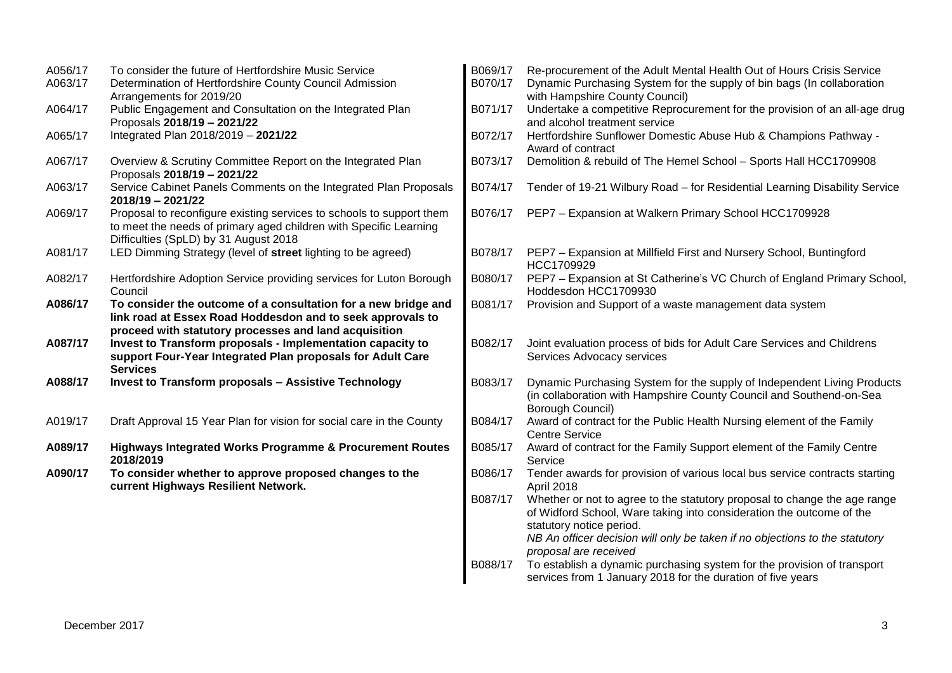| A056/17<br>A063/17 | To consider the future of Hertfordshire Music Service<br>Determination of Hertfordshire County Council Admission                                                                      | B069/17<br>B070/17 | Re-procurement of the Adult Mental Health Out of Hours Crisis Service<br>Dynamic Purchasing System for the supply of bin bags (In collaboration                                                                                                                                       |
|--------------------|---------------------------------------------------------------------------------------------------------------------------------------------------------------------------------------|--------------------|---------------------------------------------------------------------------------------------------------------------------------------------------------------------------------------------------------------------------------------------------------------------------------------|
|                    | Arrangements for 2019/20                                                                                                                                                              |                    | with Hampshire County Council)                                                                                                                                                                                                                                                        |
| A064/17            | Public Engagement and Consultation on the Integrated Plan<br>Proposals 2018/19 - 2021/22                                                                                              | B071/17            | Undertake a competitive Reprocurement for the provision of an all-age drug<br>and alcohol treatment service                                                                                                                                                                           |
| A065/17            | Integrated Plan 2018/2019 - 2021/22                                                                                                                                                   | B072/17            | Hertfordshire Sunflower Domestic Abuse Hub & Champions Pathway -<br>Award of contract                                                                                                                                                                                                 |
| A067/17            | Overview & Scrutiny Committee Report on the Integrated Plan<br>Proposals 2018/19 - 2021/22                                                                                            | B073/17            | Demolition & rebuild of The Hemel School - Sports Hall HCC1709908                                                                                                                                                                                                                     |
| A063/17            | Service Cabinet Panels Comments on the Integrated Plan Proposals<br>2018/19 - 2021/22                                                                                                 | B074/17            | Tender of 19-21 Wilbury Road - for Residential Learning Disability Service                                                                                                                                                                                                            |
| A069/17            | Proposal to reconfigure existing services to schools to support them<br>to meet the needs of primary aged children with Specific Learning<br>Difficulties (SpLD) by 31 August 2018    | B076/17            | PEP7 - Expansion at Walkern Primary School HCC1709928                                                                                                                                                                                                                                 |
| A081/17            | LED Dimming Strategy (level of street lighting to be agreed)                                                                                                                          | B078/17            | PEP7 - Expansion at Millfield First and Nursery School, Buntingford<br>HCC1709929                                                                                                                                                                                                     |
| A082/17            | Hertfordshire Adoption Service providing services for Luton Borough<br>Council                                                                                                        | B080/17            | PEP7 - Expansion at St Catherine's VC Church of England Primary School,<br>Hoddesdon HCC1709930                                                                                                                                                                                       |
| A086/17            | To consider the outcome of a consultation for a new bridge and<br>link road at Essex Road Hoddesdon and to seek approvals to<br>proceed with statutory processes and land acquisition | B081/17            | Provision and Support of a waste management data system                                                                                                                                                                                                                               |
| A087/17            | Invest to Transform proposals - Implementation capacity to<br>support Four-Year Integrated Plan proposals for Adult Care<br><b>Services</b>                                           | B082/17            | Joint evaluation process of bids for Adult Care Services and Childrens<br>Services Advocacy services                                                                                                                                                                                  |
| A088/17            | <b>Invest to Transform proposals - Assistive Technology</b>                                                                                                                           | B083/17            | Dynamic Purchasing System for the supply of Independent Living Products<br>(in collaboration with Hampshire County Council and Southend-on-Sea<br>Borough Council)                                                                                                                    |
| A019/17            | Draft Approval 15 Year Plan for vision for social care in the County                                                                                                                  | B084/17            | Award of contract for the Public Health Nursing element of the Family<br><b>Centre Service</b>                                                                                                                                                                                        |
| A089/17            | Highways Integrated Works Programme & Procurement Routes<br>2018/2019                                                                                                                 | B085/17            | Award of contract for the Family Support element of the Family Centre<br>Service                                                                                                                                                                                                      |
| A090/17            | To consider whether to approve proposed changes to the<br>current Highways Resilient Network.                                                                                         | B086/17            | Tender awards for provision of various local bus service contracts starting<br>April 2018                                                                                                                                                                                             |
|                    |                                                                                                                                                                                       | B087/17            | Whether or not to agree to the statutory proposal to change the age range<br>of Widford School, Ware taking into consideration the outcome of the<br>statutory notice period.<br>NB An officer decision will only be taken if no objections to the statutory<br>proposal are received |
|                    |                                                                                                                                                                                       | B088/17            | To establish a dynamic purchasing system for the provision of transport<br>services from 1 January 2018 for the duration of five years                                                                                                                                                |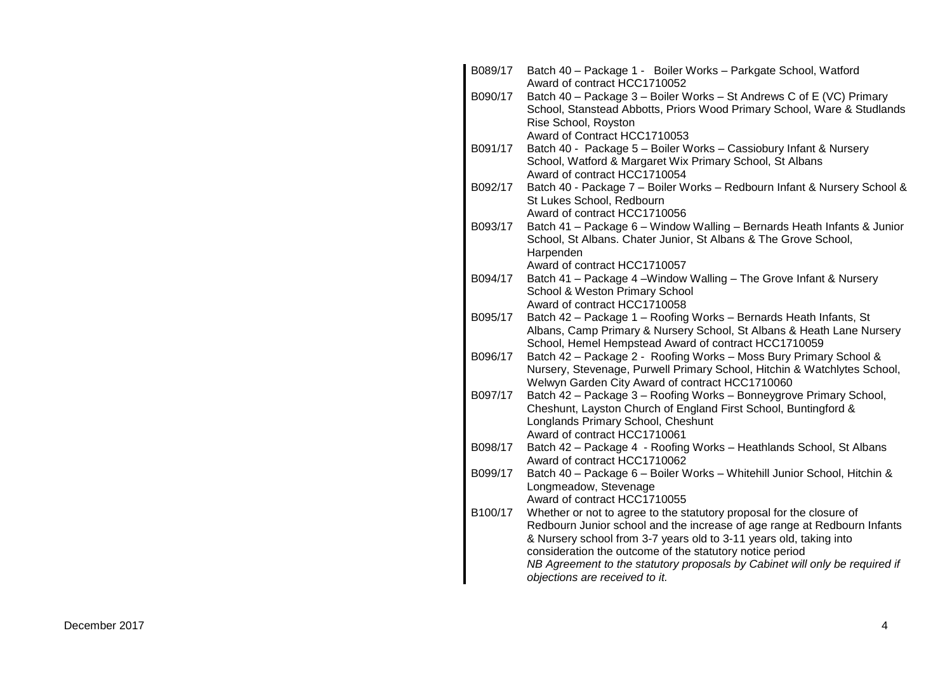| B089/17 | Batch 40 - Package 1 - Boiler Works - Parkgate School, Watford                                                                                 |
|---------|------------------------------------------------------------------------------------------------------------------------------------------------|
| B090/17 | Award of contract HCC1710052<br>Batch 40 - Package 3 - Boiler Works - St Andrews C of E (VC) Primary                                           |
|         | School, Stanstead Abbotts, Priors Wood Primary School, Ware & Studlands<br>Rise School, Royston                                                |
|         | Award of Contract HCC1710053                                                                                                                   |
| B091/17 | Batch 40 - Package 5 - Boiler Works - Cassiobury Infant & Nursery                                                                              |
|         | School, Watford & Margaret Wix Primary School, St Albans                                                                                       |
|         | Award of contract HCC1710054                                                                                                                   |
| B092/17 | Batch 40 - Package 7 - Boiler Works - Redbourn Infant & Nursery School &                                                                       |
|         | St Lukes School, Redbourn                                                                                                                      |
| B093/17 | Award of contract HCC1710056<br>Batch 41 - Package 6 - Window Walling - Bernards Heath Infants & Junior                                        |
|         | School, St Albans. Chater Junior, St Albans & The Grove School,                                                                                |
|         | Harpenden                                                                                                                                      |
|         | Award of contract HCC1710057                                                                                                                   |
| B094/17 | Batch 41 - Package 4 - Window Walling - The Grove Infant & Nursery                                                                             |
|         | School & Weston Primary School                                                                                                                 |
|         | Award of contract HCC1710058                                                                                                                   |
| B095/17 | Batch 42 - Package 1 - Roofing Works - Bernards Heath Infants, St<br>Albans, Camp Primary & Nursery School, St Albans & Heath Lane Nursery     |
|         | School, Hemel Hempstead Award of contract HCC1710059                                                                                           |
| B096/17 | Batch 42 - Package 2 - Roofing Works - Moss Bury Primary School &                                                                              |
|         | Nursery, Stevenage, Purwell Primary School, Hitchin & Watchlytes School,                                                                       |
|         | Welwyn Garden City Award of contract HCC1710060                                                                                                |
| B097/17 | Batch 42 - Package 3 - Roofing Works - Bonneygrove Primary School,                                                                             |
|         | Cheshunt, Layston Church of England First School, Buntingford &                                                                                |
|         | Longlands Primary School, Cheshunt<br>Award of contract HCC1710061                                                                             |
| B098/17 | Batch 42 - Package 4 - Roofing Works - Heathlands School, St Albans                                                                            |
|         | Award of contract HCC1710062                                                                                                                   |
| B099/17 | Batch 40 - Package 6 - Boiler Works - Whitehill Junior School, Hitchin &                                                                       |
|         | Longmeadow, Stevenage                                                                                                                          |
|         | Award of contract HCC1710055                                                                                                                   |
| B100/17 | Whether or not to agree to the statutory proposal for the closure of                                                                           |
|         | Redbourn Junior school and the increase of age range at Redbourn Infants<br>& Nursery school from 3-7 years old to 3-11 years old, taking into |
|         | consideration the outcome of the statutory notice period                                                                                       |
|         | NB Agreement to the statutory proposals by Cabinet will only be required if                                                                    |
|         | objections are received to it.                                                                                                                 |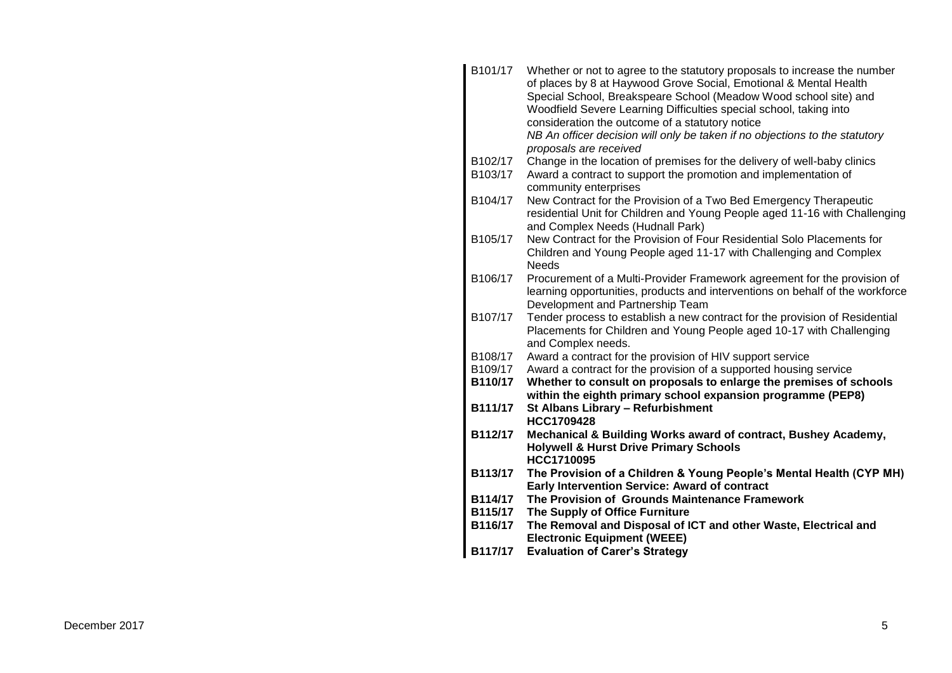| B101/17 | Whether or not to agree to the statutory proposals to increase the number                                                             |
|---------|---------------------------------------------------------------------------------------------------------------------------------------|
|         | of places by 8 at Haywood Grove Social, Emotional & Mental Health<br>Special School, Breakspeare School (Meadow Wood school site) and |
|         | Woodfield Severe Learning Difficulties special school, taking into                                                                    |
|         | consideration the outcome of a statutory notice                                                                                       |
|         | NB An officer decision will only be taken if no objections to the statutory                                                           |
|         | proposals are received                                                                                                                |
| B102/17 | Change in the location of premises for the delivery of well-baby clinics                                                              |
| B103/17 | Award a contract to support the promotion and implementation of                                                                       |
|         | community enterprises                                                                                                                 |
| B104/17 | New Contract for the Provision of a Two Bed Emergency Therapeutic                                                                     |
|         | residential Unit for Children and Young People aged 11-16 with Challenging                                                            |
|         | and Complex Needs (Hudnall Park)                                                                                                      |
| B105/17 | New Contract for the Provision of Four Residential Solo Placements for                                                                |
|         | Children and Young People aged 11-17 with Challenging and Complex                                                                     |
| B106/17 | <b>Needs</b><br>Procurement of a Multi-Provider Framework agreement for the provision of                                              |
|         | learning opportunities, products and interventions on behalf of the workforce                                                         |
|         | Development and Partnership Team                                                                                                      |
| B107/17 | Tender process to establish a new contract for the provision of Residential                                                           |
|         | Placements for Children and Young People aged 10-17 with Challenging                                                                  |
|         | and Complex needs.                                                                                                                    |
| B108/17 | Award a contract for the provision of HIV support service                                                                             |
| B109/17 | Award a contract for the provision of a supported housing service                                                                     |
| B110/17 | Whether to consult on proposals to enlarge the premises of schools                                                                    |
|         | within the eighth primary school expansion programme (PEP8)                                                                           |
| B111/17 | St Albans Library - Refurbishment                                                                                                     |
|         | HCC1709428                                                                                                                            |
| B112/17 | Mechanical & Building Works award of contract, Bushey Academy,<br><b>Holywell &amp; Hurst Drive Primary Schools</b>                   |
|         | HCC1710095                                                                                                                            |
| B113/17 | The Provision of a Children & Young People's Mental Health (CYP MH)                                                                   |
|         | Early Intervention Service: Award of contract                                                                                         |
| B114/17 | The Provision of Grounds Maintenance Framework                                                                                        |
| B115/17 | The Supply of Office Furniture                                                                                                        |
| B116/17 | The Removal and Disposal of ICT and other Waste, Electrical and                                                                       |
|         | <b>Electronic Equipment (WEEE)</b>                                                                                                    |
| B117/17 | <b>Evaluation of Carer's Strategy</b>                                                                                                 |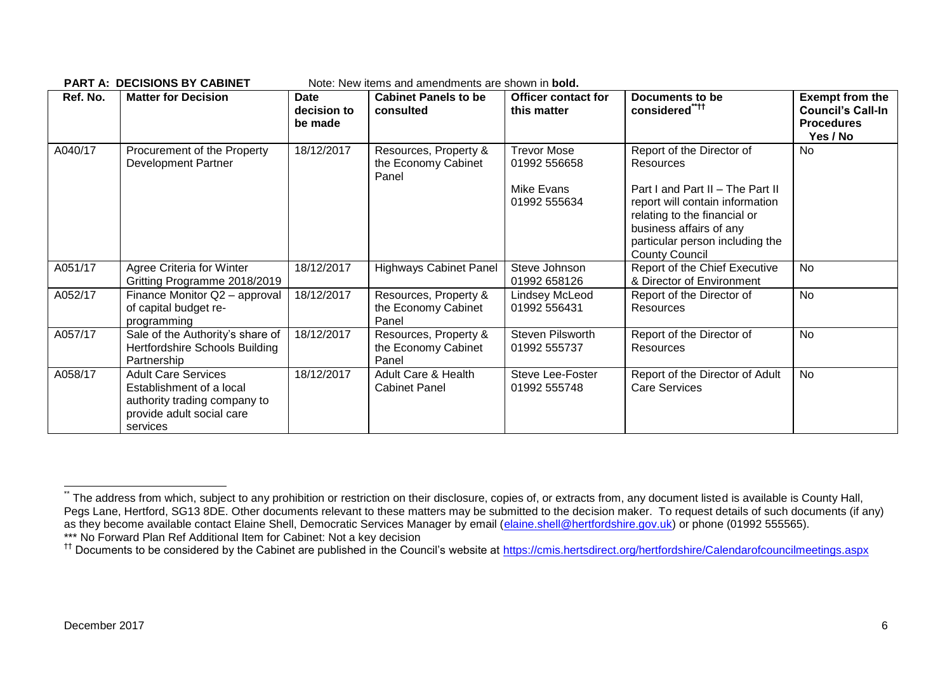| Ref. No. | <b>Matter for Decision</b>                                                                                                      | <b>Date</b><br>decision to<br>be made | <b>Cabinet Panels to be</b><br>consulted              | <b>Officer contact for</b><br>this matter | Documents to be<br>considered <sup>"***</sup>                                                                                                                                              | <b>Exempt from the</b><br><b>Council's Call-In</b><br><b>Procedures</b><br>Yes / No |
|----------|---------------------------------------------------------------------------------------------------------------------------------|---------------------------------------|-------------------------------------------------------|-------------------------------------------|--------------------------------------------------------------------------------------------------------------------------------------------------------------------------------------------|-------------------------------------------------------------------------------------|
| A040/17  | Procurement of the Property<br><b>Development Partner</b>                                                                       | 18/12/2017                            | Resources, Property &<br>the Economy Cabinet<br>Panel | <b>Trevor Mose</b><br>01992 556658        | Report of the Director of<br><b>Resources</b>                                                                                                                                              | <b>No</b>                                                                           |
|          |                                                                                                                                 |                                       |                                                       | Mike Evans<br>01992 555634                | Part I and Part II - The Part II<br>report will contain information<br>relating to the financial or<br>business affairs of any<br>particular person including the<br><b>County Council</b> |                                                                                     |
| A051/17  | Agree Criteria for Winter<br>Gritting Programme 2018/2019                                                                       | 18/12/2017                            | <b>Highways Cabinet Panel</b>                         | Steve Johnson<br>01992 658126             | Report of the Chief Executive<br>& Director of Environment                                                                                                                                 | <b>No</b>                                                                           |
| A052/17  | Finance Monitor Q2 - approval<br>of capital budget re-<br>programming                                                           | 18/12/2017                            | Resources, Property &<br>the Economy Cabinet<br>Panel | Lindsey McLeod<br>01992 556431            | Report of the Director of<br>Resources                                                                                                                                                     | <b>No</b>                                                                           |
| A057/17  | Sale of the Authority's share of<br>Hertfordshire Schools Building<br>Partnership                                               | 18/12/2017                            | Resources, Property &<br>the Economy Cabinet<br>Panel | Steven Pilsworth<br>01992 555737          | Report of the Director of<br>Resources                                                                                                                                                     | <b>No</b>                                                                           |
| A058/17  | <b>Adult Care Services</b><br>Establishment of a local<br>authority trading company to<br>provide adult social care<br>services | 18/12/2017                            | Adult Care & Health<br><b>Cabinet Panel</b>           | Steve Lee-Foster<br>01992 555748          | Report of the Director of Adult<br><b>Care Services</b>                                                                                                                                    | <b>No</b>                                                                           |

**PART A: DECISIONS BY CABINET** Note: New items and amendments are shown in **bold.**

1

<sup>.&</sup>lt;br>The address from which, subject to any prohibition or restriction on their disclosure, copies of, or extracts from, any document listed is available is County Hall, Pegs Lane, Hertford, SG13 8DE. Other documents relevant to these matters may be submitted to the decision maker. To request details of such documents (if any) as they become available contact Elaine Shell, Democratic Services Manager by email [\(elaine.shell@hertfordshire.gov.uk\)](mailto:elaine.shell@hertfordshire.gov.uk) or phone (01992 555565). \*\*\* No Forward Plan Ref Additional Item for Cabinet: Not a key decision

<sup>&</sup>lt;sup>††</sup> Documents to be considered by the Cabinet are published in the Council's website at<https://cmis.hertsdirect.org/hertfordshire/Calendarofcouncilmeetings.aspx>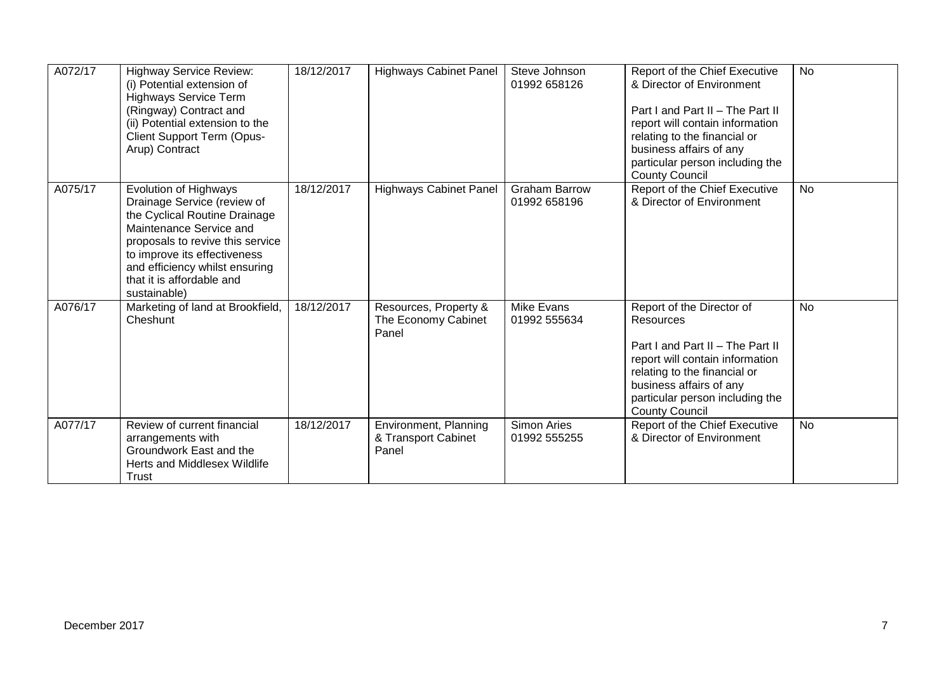| A072/17 | <b>Highway Service Review:</b><br>(i) Potential extension of<br><b>Highways Service Term</b><br>(Ringway) Contract and<br>(ii) Potential extension to the<br>Client Support Term (Opus-<br>Arup) Contract                                                           | 18/12/2017 | <b>Highways Cabinet Panel</b>                         | Steve Johnson<br>01992 658126        | Report of the Chief Executive<br>& Director of Environment<br>Part I and Part II - The Part II<br>report will contain information<br>relating to the financial or<br>business affairs of any<br>particular person including the<br><b>County Council</b> | <b>No</b> |
|---------|---------------------------------------------------------------------------------------------------------------------------------------------------------------------------------------------------------------------------------------------------------------------|------------|-------------------------------------------------------|--------------------------------------|----------------------------------------------------------------------------------------------------------------------------------------------------------------------------------------------------------------------------------------------------------|-----------|
| A075/17 | Evolution of Highways<br>Drainage Service (review of<br>the Cyclical Routine Drainage<br>Maintenance Service and<br>proposals to revive this service<br>to improve its effectiveness<br>and efficiency whilst ensuring<br>that it is affordable and<br>sustainable) | 18/12/2017 | <b>Highways Cabinet Panel</b>                         | <b>Graham Barrow</b><br>01992 658196 | Report of the Chief Executive<br>& Director of Environment                                                                                                                                                                                               | <b>No</b> |
| A076/17 | Marketing of land at Brookfield,<br>Cheshunt                                                                                                                                                                                                                        | 18/12/2017 | Resources, Property &<br>The Economy Cabinet<br>Panel | <b>Mike Evans</b><br>01992 555634    | Report of the Director of<br>Resources<br>Part I and Part II - The Part II<br>report will contain information<br>relating to the financial or<br>business affairs of any<br>particular person including the<br><b>County Council</b>                     | No        |
| A077/17 | Review of current financial<br>arrangements with<br>Groundwork East and the<br>Herts and Middlesex Wildlife<br>Trust                                                                                                                                                | 18/12/2017 | Environment, Planning<br>& Transport Cabinet<br>Panel | Simon Aries<br>01992 555255          | Report of the Chief Executive<br>& Director of Environment                                                                                                                                                                                               | No        |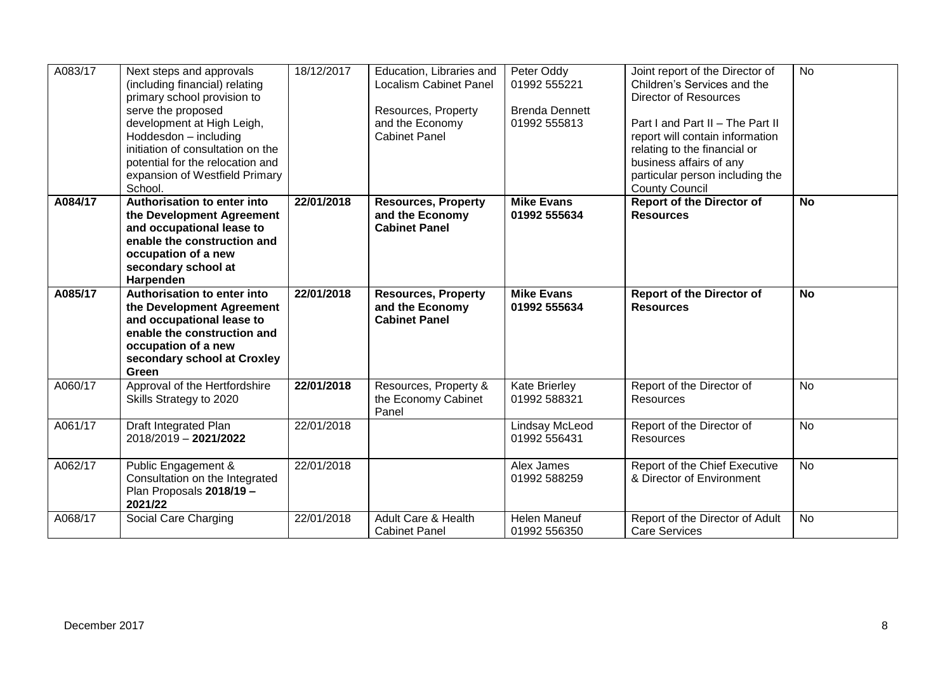| A083/17 | Next steps and approvals<br>(including financial) relating<br>primary school provision to<br>serve the proposed<br>development at High Leigh,<br>Hoddesdon - including<br>initiation of consultation on the<br>potential for the relocation and<br>expansion of Westfield Primary | 18/12/2017 | Education, Libraries and<br><b>Localism Cabinet Panel</b><br>Resources, Property<br>and the Economy<br><b>Cabinet Panel</b> | Peter Oddy<br>01992 555221<br><b>Brenda Dennett</b><br>01992 555813 | Joint report of the Director of<br>Children's Services and the<br><b>Director of Resources</b><br>Part I and Part II - The Part II<br>report will contain information<br>relating to the financial or<br>business affairs of any<br>particular person including the | <b>No</b> |
|---------|-----------------------------------------------------------------------------------------------------------------------------------------------------------------------------------------------------------------------------------------------------------------------------------|------------|-----------------------------------------------------------------------------------------------------------------------------|---------------------------------------------------------------------|---------------------------------------------------------------------------------------------------------------------------------------------------------------------------------------------------------------------------------------------------------------------|-----------|
| A084/17 | School.<br>Authorisation to enter into<br>the Development Agreement<br>and occupational lease to<br>enable the construction and<br>occupation of a new<br>secondary school at<br>Harpenden                                                                                        | 22/01/2018 | <b>Resources, Property</b><br>and the Economy<br><b>Cabinet Panel</b>                                                       | <b>Mike Evans</b><br>01992 555634                                   | <b>County Council</b><br><b>Report of the Director of</b><br><b>Resources</b>                                                                                                                                                                                       | <b>No</b> |
| A085/17 | Authorisation to enter into<br>the Development Agreement<br>and occupational lease to<br>enable the construction and<br>occupation of a new<br>secondary school at Croxley<br>Green                                                                                               | 22/01/2018 | <b>Resources, Property</b><br>and the Economy<br><b>Cabinet Panel</b>                                                       | <b>Mike Evans</b><br>01992 555634                                   | <b>Report of the Director of</b><br><b>Resources</b>                                                                                                                                                                                                                | <b>No</b> |
| A060/17 | Approval of the Hertfordshire<br>Skills Strategy to 2020                                                                                                                                                                                                                          | 22/01/2018 | Resources, Property &<br>the Economy Cabinet<br>Panel                                                                       | <b>Kate Brierley</b><br>01992 588321                                | Report of the Director of<br>Resources                                                                                                                                                                                                                              | <b>No</b> |
| A061/17 | Draft Integrated Plan<br>2018/2019 - 2021/2022                                                                                                                                                                                                                                    | 22/01/2018 |                                                                                                                             | <b>Lindsay McLeod</b><br>01992 556431                               | Report of the Director of<br><b>Resources</b>                                                                                                                                                                                                                       | <b>No</b> |
| A062/17 | Public Engagement &<br>Consultation on the Integrated<br>Plan Proposals 2018/19 -<br>2021/22                                                                                                                                                                                      | 22/01/2018 |                                                                                                                             | Alex James<br>01992 588259                                          | Report of the Chief Executive<br>& Director of Environment                                                                                                                                                                                                          | <b>No</b> |
| A068/17 | Social Care Charging                                                                                                                                                                                                                                                              | 22/01/2018 | Adult Care & Health<br><b>Cabinet Panel</b>                                                                                 | Helen Maneuf<br>01992 556350                                        | Report of the Director of Adult<br><b>Care Services</b>                                                                                                                                                                                                             | No        |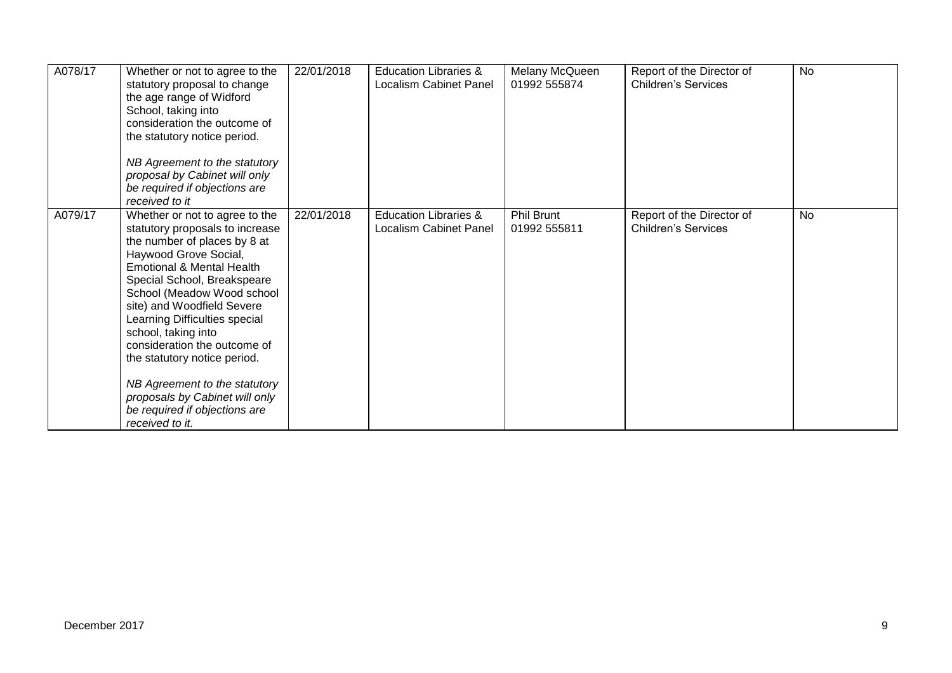| A078/17 | Whether or not to agree to the<br>statutory proposal to change<br>the age range of Widford<br>School, taking into<br>consideration the outcome of<br>the statutory notice period.<br>NB Agreement to the statutory<br>proposal by Cabinet will only<br>be required if objections are<br>received to it                                                                                                                                                                                            | 22/01/2018 | <b>Education Libraries &amp;</b><br>Localism Cabinet Panel | Melany McQueen<br>01992 555874    | Report of the Director of<br><b>Children's Services</b> | <b>No</b> |
|---------|---------------------------------------------------------------------------------------------------------------------------------------------------------------------------------------------------------------------------------------------------------------------------------------------------------------------------------------------------------------------------------------------------------------------------------------------------------------------------------------------------|------------|------------------------------------------------------------|-----------------------------------|---------------------------------------------------------|-----------|
| A079/17 | Whether or not to agree to the<br>statutory proposals to increase<br>the number of places by 8 at<br>Haywood Grove Social,<br>Emotional & Mental Health<br>Special School, Breakspeare<br>School (Meadow Wood school<br>site) and Woodfield Severe<br>Learning Difficulties special<br>school, taking into<br>consideration the outcome of<br>the statutory notice period.<br>NB Agreement to the statutory<br>proposals by Cabinet will only<br>be required if objections are<br>received to it. | 22/01/2018 | <b>Education Libraries &amp;</b><br>Localism Cabinet Panel | <b>Phil Brunt</b><br>01992 555811 | Report of the Director of<br><b>Children's Services</b> | <b>No</b> |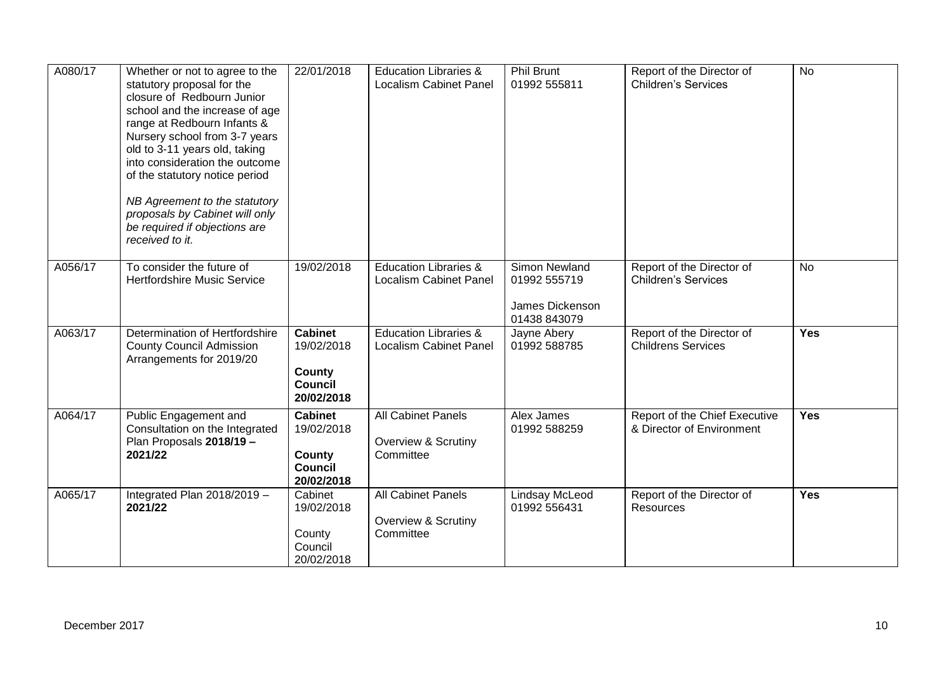| A080/17 | Whether or not to agree to the<br>statutory proposal for the<br>closure of Redbourn Junior<br>school and the increase of age<br>range at Redbourn Infants &<br>Nursery school from 3-7 years<br>old to 3-11 years old, taking<br>into consideration the outcome<br>of the statutory notice period<br>NB Agreement to the statutory<br>proposals by Cabinet will only<br>be required if objections are<br>received to it. | 22/01/2018                                                             | <b>Education Libraries &amp;</b><br><b>Localism Cabinet Panel</b> | <b>Phil Brunt</b><br>01992 555811                                | Report of the Director of<br><b>Children's Services</b>    | <b>No</b>  |
|---------|--------------------------------------------------------------------------------------------------------------------------------------------------------------------------------------------------------------------------------------------------------------------------------------------------------------------------------------------------------------------------------------------------------------------------|------------------------------------------------------------------------|-------------------------------------------------------------------|------------------------------------------------------------------|------------------------------------------------------------|------------|
| A056/17 | To consider the future of<br><b>Hertfordshire Music Service</b>                                                                                                                                                                                                                                                                                                                                                          | 19/02/2018                                                             | <b>Education Libraries &amp;</b><br><b>Localism Cabinet Panel</b> | Simon Newland<br>01992 555719<br>James Dickenson<br>01438 843079 | Report of the Director of<br><b>Children's Services</b>    | No         |
| A063/17 | Determination of Hertfordshire<br><b>County Council Admission</b><br>Arrangements for 2019/20                                                                                                                                                                                                                                                                                                                            | <b>Cabinet</b><br>19/02/2018<br>County<br><b>Council</b><br>20/02/2018 | <b>Education Libraries &amp;</b><br><b>Localism Cabinet Panel</b> | Jayne Abery<br>01992 588785                                      | Report of the Director of<br><b>Childrens Services</b>     | <b>Yes</b> |
| A064/17 | Public Engagement and<br>Consultation on the Integrated<br>Plan Proposals 2018/19 -<br>2021/22                                                                                                                                                                                                                                                                                                                           | <b>Cabinet</b><br>19/02/2018<br>County<br>Council<br>20/02/2018        | <b>All Cabinet Panels</b><br>Overview & Scrutiny<br>Committee     | Alex James<br>01992 588259                                       | Report of the Chief Executive<br>& Director of Environment | <b>Yes</b> |
| A065/17 | Integrated Plan 2018/2019 -<br>2021/22                                                                                                                                                                                                                                                                                                                                                                                   | Cabinet<br>19/02/2018<br>County<br>Council<br>20/02/2018               | All Cabinet Panels<br>Overview & Scrutiny<br>Committee            | Lindsay McLeod<br>01992 556431                                   | Report of the Director of<br>Resources                     | <b>Yes</b> |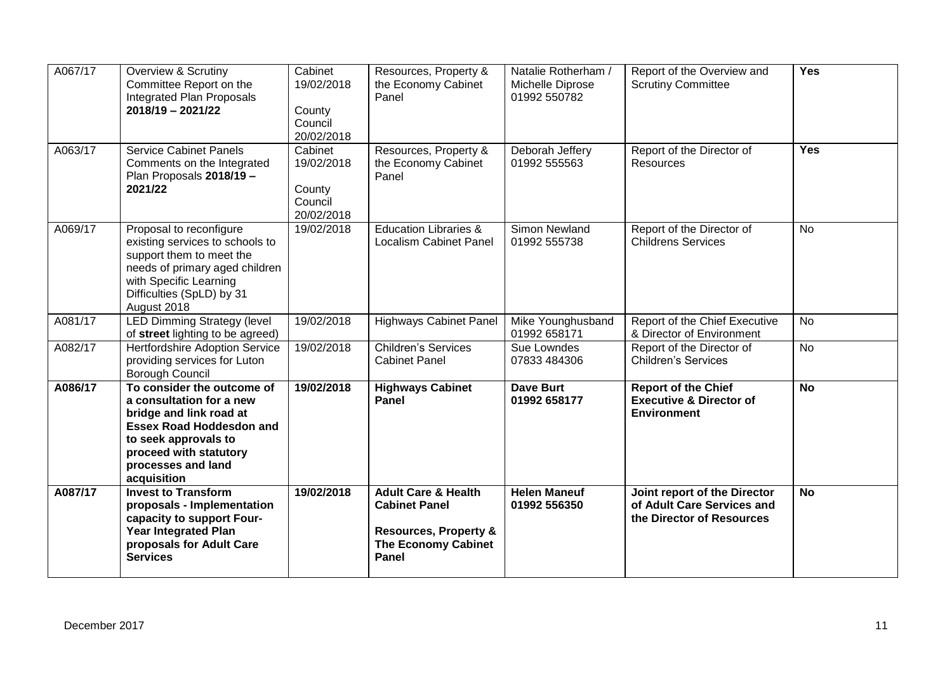| A067/17 | Overview & Scrutiny<br>Committee Report on the<br>Integrated Plan Proposals<br>$2018/19 - 2021/22$                                                                                                          | Cabinet<br>19/02/2018<br>County<br>Council<br>20/02/2018 | Resources, Property &<br>the Economy Cabinet<br>Panel                                                                                    | Natalie Rotherham /<br>Michelle Diprose<br>01992 550782 | Report of the Overview and<br><b>Scrutiny Committee</b>                                 | <b>Yes</b> |
|---------|-------------------------------------------------------------------------------------------------------------------------------------------------------------------------------------------------------------|----------------------------------------------------------|------------------------------------------------------------------------------------------------------------------------------------------|---------------------------------------------------------|-----------------------------------------------------------------------------------------|------------|
| A063/17 | <b>Service Cabinet Panels</b><br>Comments on the Integrated<br>Plan Proposals 2018/19 -<br>2021/22                                                                                                          | Cabinet<br>19/02/2018<br>County<br>Council<br>20/02/2018 | Resources, Property &<br>the Economy Cabinet<br>Panel                                                                                    | Deborah Jeffery<br>01992 555563                         | Report of the Director of<br>Resources                                                  | <b>Yes</b> |
| A069/17 | Proposal to reconfigure<br>existing services to schools to<br>support them to meet the<br>needs of primary aged children<br>with Specific Learning<br>Difficulties (SpLD) by 31<br>August 2018              | 19/02/2018                                               | <b>Education Libraries &amp;</b><br><b>Localism Cabinet Panel</b>                                                                        | Simon Newland<br>01992 555738                           | Report of the Director of<br><b>Childrens Services</b>                                  | No         |
| A081/17 | <b>LED Dimming Strategy (level)</b><br>of street lighting to be agreed)                                                                                                                                     | 19/02/2018                                               | <b>Highways Cabinet Panel</b>                                                                                                            | Mike Younghusband<br>01992 658171                       | Report of the Chief Executive<br>& Director of Environment                              | <b>No</b>  |
| A082/17 | <b>Hertfordshire Adoption Service</b><br>providing services for Luton<br><b>Borough Council</b>                                                                                                             | 19/02/2018                                               | <b>Children's Services</b><br><b>Cabinet Panel</b>                                                                                       | Sue Lowndes<br>07833 484306                             | Report of the Director of<br><b>Children's Services</b>                                 | <b>No</b>  |
| A086/17 | To consider the outcome of<br>a consultation for a new<br>bridge and link road at<br><b>Essex Road Hoddesdon and</b><br>to seek approvals to<br>proceed with statutory<br>processes and land<br>acquisition | 19/02/2018                                               | <b>Highways Cabinet</b><br>Panel                                                                                                         | <b>Dave Burt</b><br>01992 658177                        | <b>Report of the Chief</b><br><b>Executive &amp; Director of</b><br><b>Environment</b>  | <b>No</b>  |
| A087/17 | <b>Invest to Transform</b><br>proposals - Implementation<br>capacity to support Four-<br><b>Year Integrated Plan</b><br>proposals for Adult Care<br><b>Services</b>                                         | 19/02/2018                                               | <b>Adult Care &amp; Health</b><br><b>Cabinet Panel</b><br><b>Resources, Property &amp;</b><br><b>The Economy Cabinet</b><br><b>Panel</b> | <b>Helen Maneuf</b><br>01992 556350                     | Joint report of the Director<br>of Adult Care Services and<br>the Director of Resources | <b>No</b>  |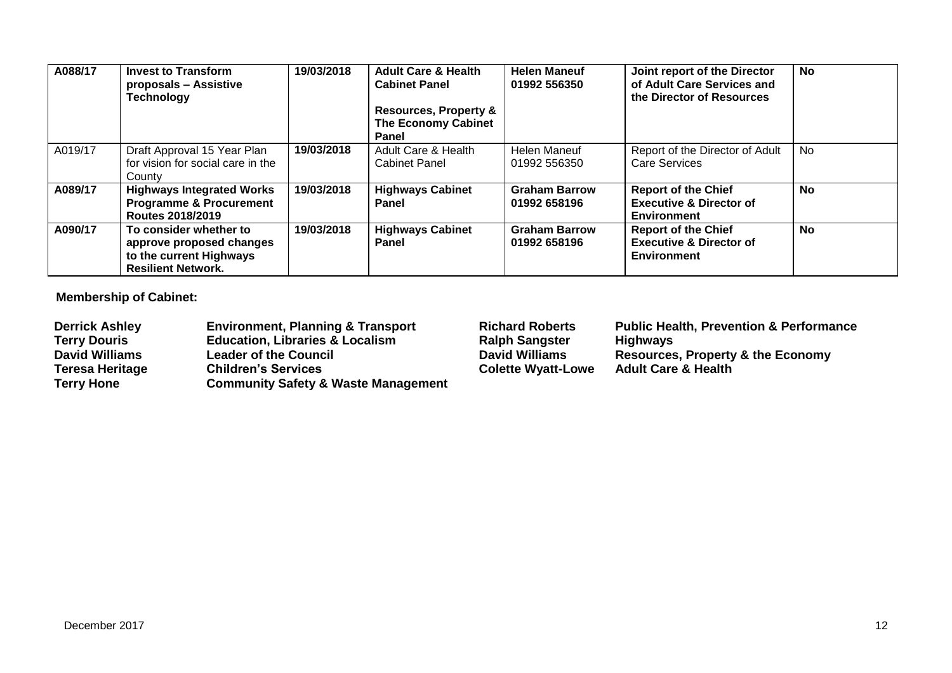| A088/17 | <b>Invest to Transform</b><br>proposals - Assistive<br><b>Technology</b>                                   | 19/03/2018 | <b>Adult Care &amp; Health</b><br><b>Cabinet Panel</b><br><b>Resources, Property &amp;</b><br><b>The Economy Cabinet</b><br><b>Panel</b> | <b>Helen Maneuf</b><br>01992 556350  | Joint report of the Director<br>of Adult Care Services and<br>the Director of Resources | <b>No</b> |
|---------|------------------------------------------------------------------------------------------------------------|------------|------------------------------------------------------------------------------------------------------------------------------------------|--------------------------------------|-----------------------------------------------------------------------------------------|-----------|
| A019/17 | Draft Approval 15 Year Plan<br>for vision for social care in the<br>County                                 | 19/03/2018 | Adult Care & Health<br><b>Cabinet Panel</b>                                                                                              | <b>Helen Maneuf</b><br>01992 556350  | Report of the Director of Adult<br><b>Care Services</b>                                 | <b>No</b> |
| A089/17 | <b>Highways Integrated Works</b><br><b>Programme &amp; Procurement</b><br>Routes 2018/2019                 | 19/03/2018 | <b>Highways Cabinet</b><br>Panel                                                                                                         | <b>Graham Barrow</b><br>01992 658196 | <b>Report of the Chief</b><br><b>Executive &amp; Director of</b><br>Environment         | <b>No</b> |
| A090/17 | To consider whether to<br>approve proposed changes<br>to the current Highways<br><b>Resilient Network.</b> | 19/03/2018 | <b>Highways Cabinet</b><br><b>Panel</b>                                                                                                  | <b>Graham Barrow</b><br>01992 658196 | <b>Report of the Chief</b><br><b>Executive &amp; Director of</b><br><b>Environment</b>  | <b>No</b> |

**Membership of Cabinet:** 

| <b>Derrick Ashley</b>  | <b>Environment, Planning &amp; Transport</b>   | <b>Richard Roberts</b>    | <b>Public Health, Prevention &amp; Performance</b> |
|------------------------|------------------------------------------------|---------------------------|----------------------------------------------------|
| <b>Terry Douris</b>    | <b>Education, Libraries &amp; Localism</b>     | <b>Ralph Sangster</b>     | <b>Highways</b>                                    |
| <b>David Williams</b>  | <b>Leader of the Council</b>                   | <b>David Williams</b>     | Resources, Property & the Economy                  |
| <b>Teresa Heritage</b> | <b>Children's Services</b>                     | <b>Colette Wyatt-Lowe</b> | <b>Adult Care &amp; Health</b>                     |
| <b>Terry Hone</b>      | <b>Community Safety &amp; Waste Management</b> |                           |                                                    |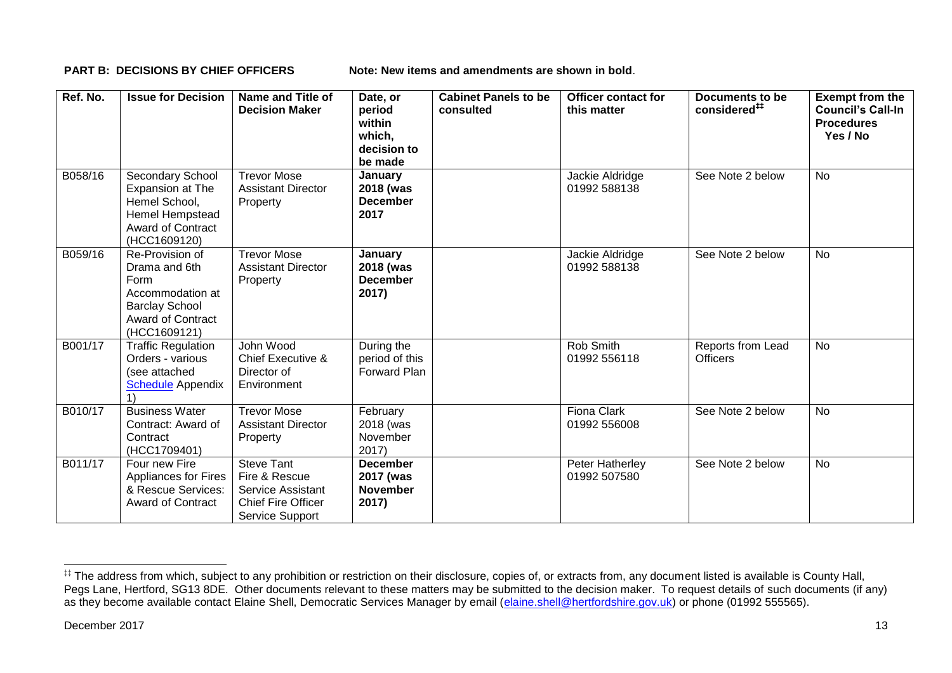**PART B: DECISIONS BY CHIEF OFFICERS Note: New items and amendments are shown in bold.** 

| Ref. No. | <b>Issue for Decision</b>                                                                                                         | Name and Title of<br><b>Decision Maker</b>                                                              | Date, or<br>period<br>within<br>which,<br>decision to<br>be made | <b>Cabinet Panels to be</b><br>consulted | Officer contact for<br>this matter | Documents to be<br>considered <sup>##</sup> | <b>Exempt from the</b><br><b>Council's Call-In</b><br><b>Procedures</b><br>Yes / No |
|----------|-----------------------------------------------------------------------------------------------------------------------------------|---------------------------------------------------------------------------------------------------------|------------------------------------------------------------------|------------------------------------------|------------------------------------|---------------------------------------------|-------------------------------------------------------------------------------------|
| B058/16  | Secondary School<br>Expansion at The<br>Hemel School,<br><b>Hemel Hempstead</b><br><b>Award of Contract</b><br>(HCC1609120)       | <b>Trevor Mose</b><br><b>Assistant Director</b><br>Property                                             | January<br>2018 (was<br><b>December</b><br>2017                  |                                          | Jackie Aldridge<br>01992 588138    | See Note 2 below                            | <b>No</b>                                                                           |
| B059/16  | Re-Provision of<br>Drama and 6th<br>Form<br>Accommodation at<br><b>Barclay School</b><br><b>Award of Contract</b><br>(HCC1609121) | <b>Trevor Mose</b><br><b>Assistant Director</b><br>Property                                             | January<br>2018 (was<br><b>December</b><br>2017)                 |                                          | Jackie Aldridge<br>01992 588138    | See Note 2 below                            | <b>No</b>                                                                           |
| B001/17  | <b>Traffic Regulation</b><br>Orders - various<br>(see attached<br><b>Schedule</b> Appendix                                        | John Wood<br>Chief Executive &<br>Director of<br>Environment                                            | During the<br>period of this<br>Forward Plan                     |                                          | Rob Smith<br>01992 556118          | Reports from Lead<br><b>Officers</b>        | No                                                                                  |
| B010/17  | <b>Business Water</b><br>Contract: Award of<br>Contract<br>(HCC1709401)                                                           | <b>Trevor Mose</b><br><b>Assistant Director</b><br>Property                                             | February<br>2018 (was<br>November<br>2017)                       |                                          | <b>Fiona Clark</b><br>01992 556008 | See Note 2 below                            | No                                                                                  |
| B011/17  | Four new Fire<br>Appliances for Fires<br>& Rescue Services:<br><b>Award of Contract</b>                                           | <b>Steve Tant</b><br>Fire & Rescue<br>Service Assistant<br><b>Chief Fire Officer</b><br>Service Support | <b>December</b><br>2017 (was<br><b>November</b><br>2017)         |                                          | Peter Hatherley<br>01992 507580    | See Note 2 below                            | <b>No</b>                                                                           |

1

<sup>‡‡</sup> The address from which, subject to any prohibition or restriction on their disclosure, copies of, or extracts from, any document listed is available is County Hall, Pegs Lane, Hertford, SG13 8DE. Other documents relevant to these matters may be submitted to the decision maker. To request details of such documents (if any) as they become available contact Elaine Shell, Democratic Services Manager by email [\(elaine.shell@hertfordshire.gov.uk\)](mailto:elaine.shell@hertfordshire.gov.uk) or phone (01992 55565).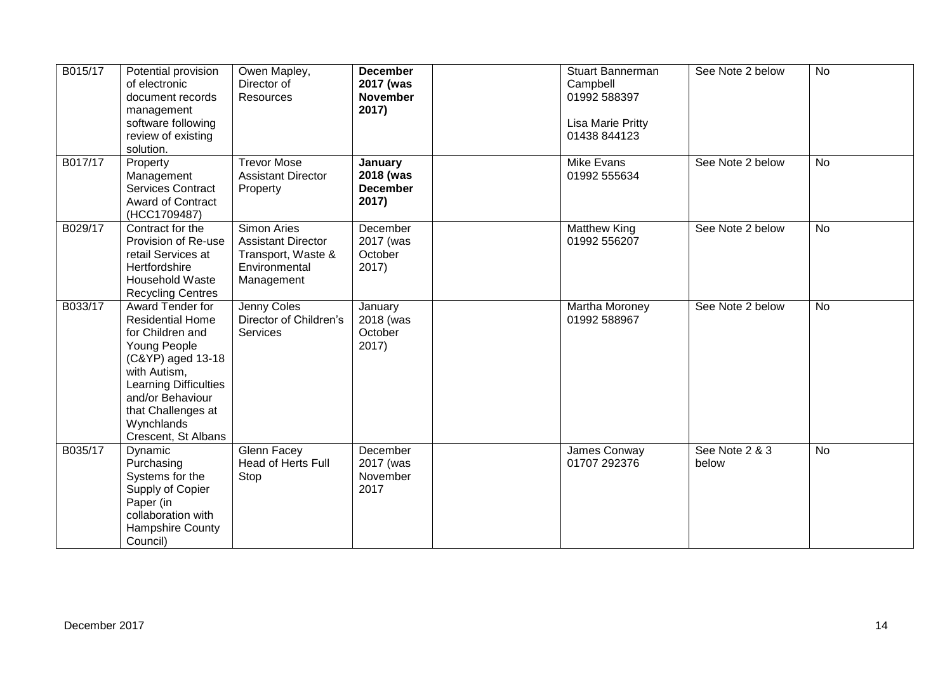| B015/17 | Potential provision<br>of electronic<br>document records<br>management<br>software following<br>review of existing<br>solution.                                                                                              | Owen Mapley,<br>Director of<br>Resources                                                      | <b>December</b><br>2017 (was<br><b>November</b><br>2017) | <b>Stuart Bannerman</b><br>Campbell<br>01992 588397<br>Lisa Marie Pritty<br>01438 844123 | See Note 2 below        | <b>No</b> |
|---------|------------------------------------------------------------------------------------------------------------------------------------------------------------------------------------------------------------------------------|-----------------------------------------------------------------------------------------------|----------------------------------------------------------|------------------------------------------------------------------------------------------|-------------------------|-----------|
| B017/17 | Property<br>Management<br><b>Services Contract</b><br><b>Award of Contract</b><br>(HCC1709487)                                                                                                                               | <b>Trevor Mose</b><br><b>Assistant Director</b><br>Property                                   | January<br>2018 (was<br><b>December</b><br>2017)         | Mike Evans<br>01992 555634                                                               | See Note 2 below        | <b>No</b> |
| B029/17 | Contract for the<br>Provision of Re-use<br>retail Services at<br>Hertfordshire<br><b>Household Waste</b><br><b>Recycling Centres</b>                                                                                         | Simon Aries<br><b>Assistant Director</b><br>Transport, Waste &<br>Environmental<br>Management | December<br>2017 (was<br>October<br>2017)                | <b>Matthew King</b><br>01992 556207                                                      | See Note 2 below        | <b>No</b> |
| B033/17 | Award Tender for<br><b>Residential Home</b><br>for Children and<br>Young People<br>(C&YP) aged 13-18<br>with Autism,<br>Learning Difficulties<br>and/or Behaviour<br>that Challenges at<br>Wynchlands<br>Crescent, St Albans | Jenny Coles<br>Director of Children's<br>Services                                             | January<br>2018 (was<br>October<br>2017)                 | Martha Moroney<br>01992 588967                                                           | See Note 2 below        | <b>No</b> |
| B035/17 | Dynamic<br>Purchasing<br>Systems for the<br>Supply of Copier<br>Paper (in<br>collaboration with<br>Hampshire County<br>Council)                                                                                              | Glenn Facey<br>Head of Herts Full<br>Stop                                                     | December<br>2017 (was<br>November<br>2017                | James Conway<br>01707 292376                                                             | See Note 2 & 3<br>below | <b>No</b> |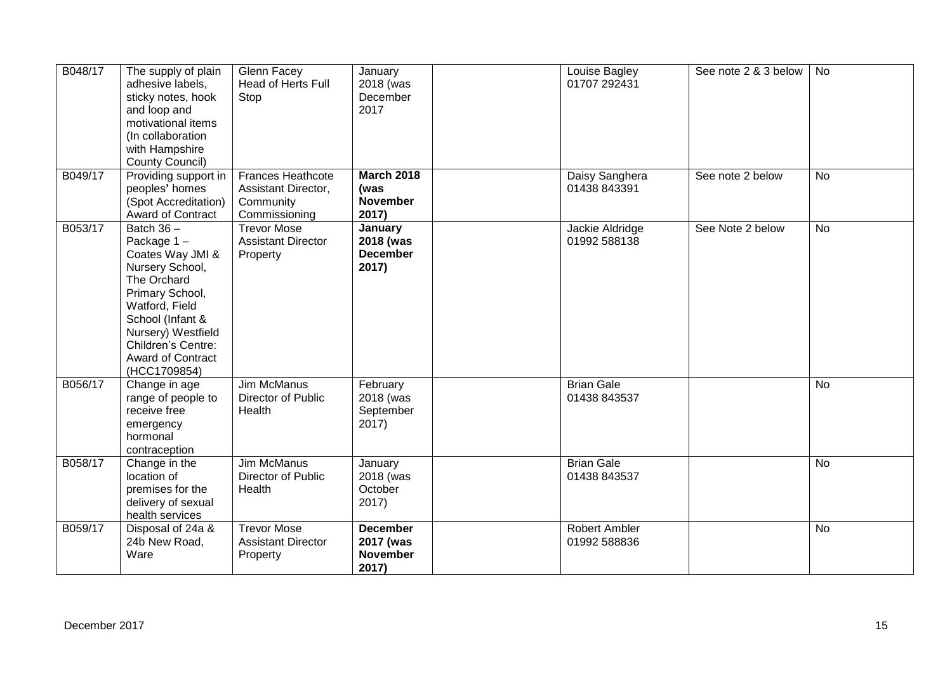| B048/17       | The supply of plain<br>adhesive labels,<br>sticky notes, hook<br>and loop and<br>motivational items<br>(In collaboration<br>with Hampshire<br>County Council)                                                                     | Glenn Facey<br>Head of Herts Full<br>Stop                              | January<br>2018 (was<br>December<br>2017                 | Louise Bagley<br>01707 292431     | See note 2 & 3 below | No             |
|---------------|-----------------------------------------------------------------------------------------------------------------------------------------------------------------------------------------------------------------------------------|------------------------------------------------------------------------|----------------------------------------------------------|-----------------------------------|----------------------|----------------|
| B049/17       | Providing support in<br>peoples' homes<br>(Spot Accreditation)<br>Award of Contract                                                                                                                                               | Frances Heathcote<br>Assistant Director,<br>Community<br>Commissioning | <b>March 2018</b><br>(was<br><b>November</b><br>2017)    | Daisy Sanghera<br>01438 843391    | See note 2 below     | No             |
| B053/17       | Batch $36 -$<br>Package 1-<br>Coates Way JMI &<br>Nursery School,<br>The Orchard<br>Primary School,<br>Watford, Field<br>School (Infant &<br>Nursery) Westfield<br>Children's Centre:<br><b>Award of Contract</b><br>(HCC1709854) | <b>Trevor Mose</b><br><b>Assistant Director</b><br>Property            | January<br>2018 (was<br><b>December</b><br>2017)         | Jackie Aldridge<br>01992 588138   | See Note 2 below     | $\overline{N}$ |
| B056/17       | Change in age<br>range of people to<br>receive free<br>emergency<br>hormonal<br>contraception                                                                                                                                     | <b>Jim McManus</b><br>Director of Public<br>Health                     | February<br>2018 (was<br>September<br>2017)              | <b>Brian Gale</b><br>01438 843537 |                      | No             |
| B058/17       | Change in the<br>location of<br>premises for the<br>delivery of sexual<br>health services                                                                                                                                         | <b>Jim McManus</b><br>Director of Public<br>Health                     | January<br>2018 (was<br>October<br>$2017$ )              | <b>Brian Gale</b><br>01438 843537 |                      | <b>No</b>      |
| B059/17       | Disposal of 24a &<br>24b New Road,<br>Ware                                                                                                                                                                                        | <b>Trevor Mose</b><br><b>Assistant Director</b><br>Property            | <b>December</b><br>2017 (was<br><b>November</b><br>2017) | Robert Ambler<br>01992 588836     |                      | No             |
| December 2017 |                                                                                                                                                                                                                                   |                                                                        |                                                          |                                   |                      | 15             |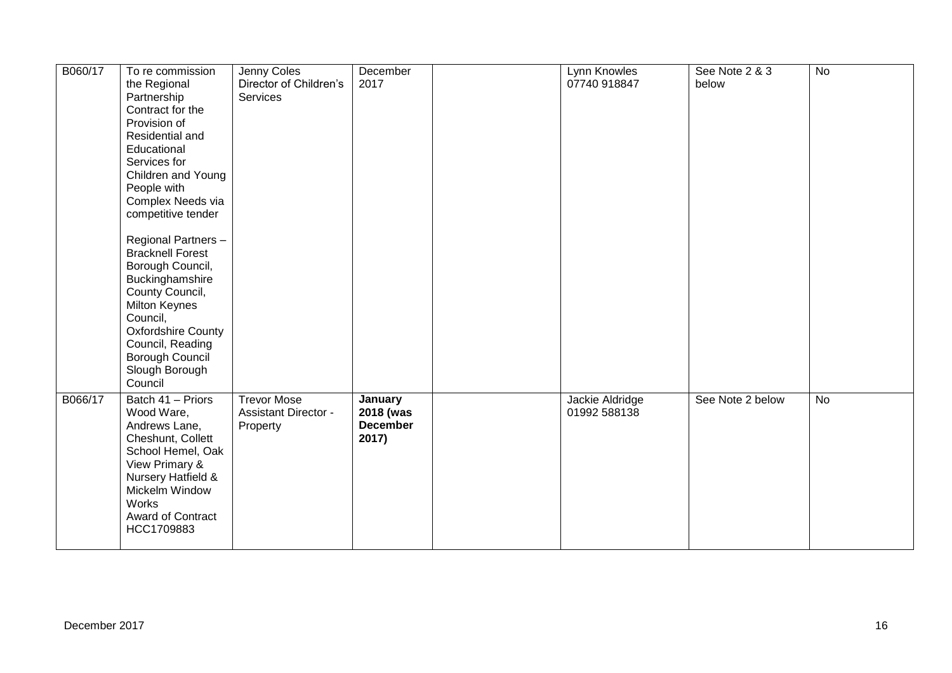| B060/17 | To re commission<br>the Regional<br>Partnership<br>Contract for the<br>Provision of<br>Residential and<br>Educational<br>Services for<br>Children and Young<br>People with<br>Complex Needs via<br>competitive tender<br>Regional Partners -<br><b>Bracknell Forest</b><br>Borough Council,<br>Buckinghamshire<br>County Council,<br>Milton Keynes<br>Council,<br><b>Oxfordshire County</b><br>Council, Reading<br>Borough Council<br>Slough Borough<br>Council | Jenny Coles<br>Director of Children's<br>Services             | December<br>2017                                 | Lynn Knowles<br>07740 918847    | See Note 2 & 3<br>below | $\overline{N}$ |
|---------|-----------------------------------------------------------------------------------------------------------------------------------------------------------------------------------------------------------------------------------------------------------------------------------------------------------------------------------------------------------------------------------------------------------------------------------------------------------------|---------------------------------------------------------------|--------------------------------------------------|---------------------------------|-------------------------|----------------|
| B066/17 | Batch 41 - Priors<br>Wood Ware,<br>Andrews Lane,<br>Cheshunt, Collett<br>School Hemel, Oak<br>View Primary &<br>Nursery Hatfield &<br>Mickelm Window<br><b>Works</b><br>Award of Contract<br>HCC1709883                                                                                                                                                                                                                                                         | <b>Trevor Mose</b><br><b>Assistant Director -</b><br>Property | January<br>2018 (was<br><b>December</b><br>2017) | Jackie Aldridge<br>01992 588138 | See Note 2 below        | No             |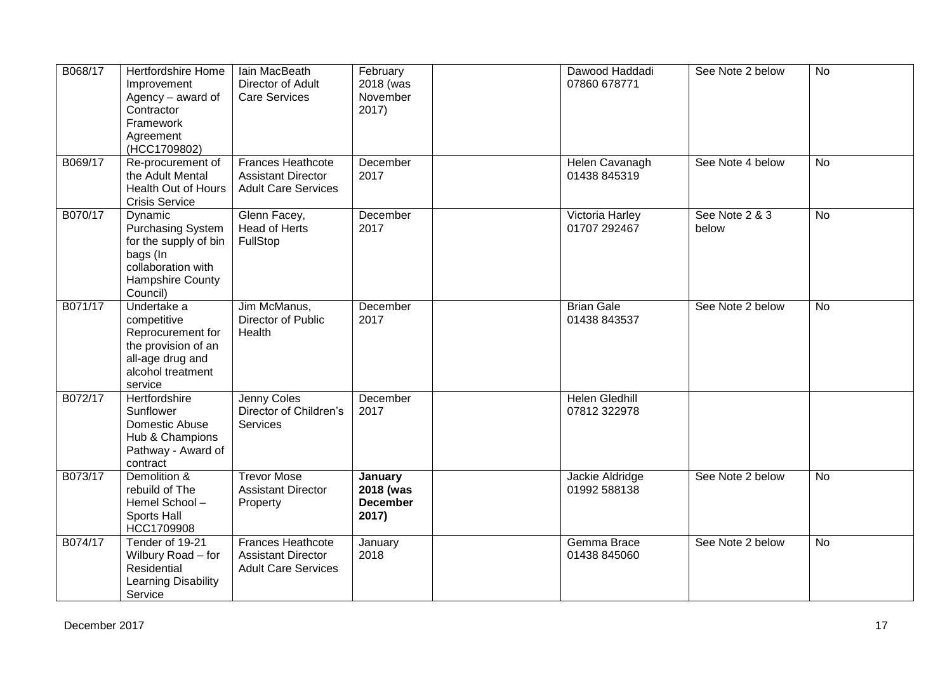| B068/17 | Hertfordshire Home<br>Improvement<br>Agency - award of<br>Contractor<br>Framework<br>Agreement<br>(HCC1709802)                 | Iain MacBeath<br>Director of Adult<br><b>Care Services</b>                          | February<br>2018 (was<br>November<br>2017)       | Dawood Haddadi<br>07860 678771        | See Note 2 below        | $\overline{N}$ |
|---------|--------------------------------------------------------------------------------------------------------------------------------|-------------------------------------------------------------------------------------|--------------------------------------------------|---------------------------------------|-------------------------|----------------|
| B069/17 | Re-procurement of<br>the Adult Mental<br>Health Out of Hours<br><b>Crisis Service</b>                                          | <b>Frances Heathcote</b><br><b>Assistant Director</b><br><b>Adult Care Services</b> | December<br>2017                                 | Helen Cavanagh<br>01438 845319        | See Note 4 below        | <b>No</b>      |
| B070/17 | Dynamic<br><b>Purchasing System</b><br>for the supply of bin<br>bags (In<br>collaboration with<br>Hampshire County<br>Council) | Glenn Facey,<br>Head of Herts<br>FullStop                                           | December<br>2017                                 | Victoria Harley<br>01707 292467       | See Note 2 & 3<br>below | <b>No</b>      |
| B071/17 | Undertake a<br>competitive<br>Reprocurement for<br>the provision of an<br>all-age drug and<br>alcohol treatment<br>service     | Jim McManus,<br>Director of Public<br>Health                                        | December<br>2017                                 | <b>Brian Gale</b><br>01438 843537     | See Note 2 below        | No             |
| B072/17 | Hertfordshire<br>Sunflower<br>Domestic Abuse<br>Hub & Champions<br>Pathway - Award of<br>contract                              | Jenny Coles<br>Director of Children's<br>Services                                   | December<br>2017                                 | <b>Helen Gledhill</b><br>07812 322978 |                         |                |
| B073/17 | Demolition &<br>rebuild of The<br>Hemel School-<br>Sports Hall<br>HCC1709908                                                   | <b>Trevor Mose</b><br><b>Assistant Director</b><br>Property                         | January<br>2018 (was<br><b>December</b><br>2017) | Jackie Aldridge<br>01992 588138       | See Note 2 below        | No             |
| B074/17 | Tender of 19-21<br>Wilbury Road - for<br>Residential<br>Learning Disability<br>Service                                         | Frances Heathcote<br><b>Assistant Director</b><br><b>Adult Care Services</b>        | January<br>2018                                  | Gemma Brace<br>01438 845060           | See Note 2 below        | <b>No</b>      |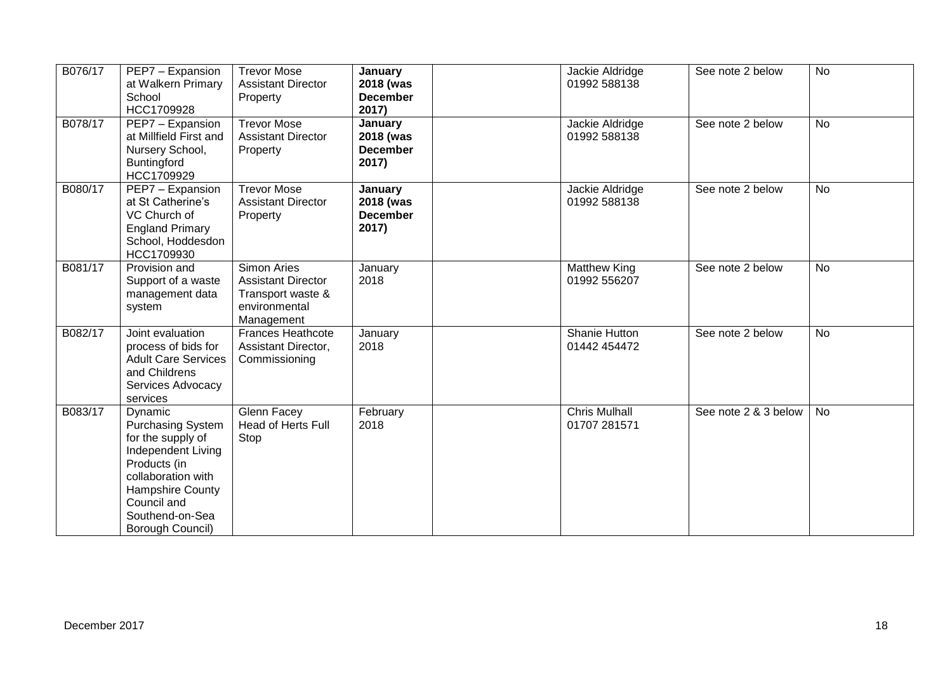| B076/17 | PEP7 - Expansion<br>at Walkern Primary<br>School<br>HCC1709928                                                                                                                                 | <b>Trevor Mose</b><br><b>Assistant Director</b><br>Property                                  | January<br>2018 (was<br><b>December</b><br>2017) | Jackie Aldridge<br>01992 588138      | See note 2 below     | <b>No</b> |
|---------|------------------------------------------------------------------------------------------------------------------------------------------------------------------------------------------------|----------------------------------------------------------------------------------------------|--------------------------------------------------|--------------------------------------|----------------------|-----------|
| B078/17 | PEP7 - Expansion<br>at Millfield First and<br>Nursery School,<br>Buntingford<br>HCC1709929                                                                                                     | <b>Trevor Mose</b><br><b>Assistant Director</b><br>Property                                  | January<br>2018 (was<br><b>December</b><br>2017) | Jackie Aldridge<br>01992 588138      | See note 2 below     | <b>No</b> |
| B080/17 | PEP7 - Expansion<br>at St Catherine's<br>VC Church of<br><b>England Primary</b><br>School, Hoddesdon<br>HCC1709930                                                                             | <b>Trevor Mose</b><br><b>Assistant Director</b><br>Property                                  | January<br>2018 (was<br><b>December</b><br>2017) | Jackie Aldridge<br>01992 588138      | See note 2 below     | No        |
| B081/17 | Provision and<br>Support of a waste<br>management data<br>system                                                                                                                               | Simon Aries<br><b>Assistant Director</b><br>Transport waste &<br>environmental<br>Management | January<br>2018                                  | <b>Matthew King</b><br>01992 556207  | See note 2 below     | <b>No</b> |
| B082/17 | Joint evaluation<br>process of bids for<br><b>Adult Care Services</b><br>and Childrens<br>Services Advocacy<br>services                                                                        | <b>Frances Heathcote</b><br>Assistant Director,<br>Commissioning                             | January<br>2018                                  | Shanie Hutton<br>01442 454472        | See note 2 below     | <b>No</b> |
| B083/17 | Dynamic<br><b>Purchasing System</b><br>for the supply of<br>Independent Living<br>Products (in<br>collaboration with<br>Hampshire County<br>Council and<br>Southend-on-Sea<br>Borough Council) | Glenn Facey<br>Head of Herts Full<br>Stop                                                    | February<br>2018                                 | <b>Chris Mulhall</b><br>01707 281571 | See note 2 & 3 below | No        |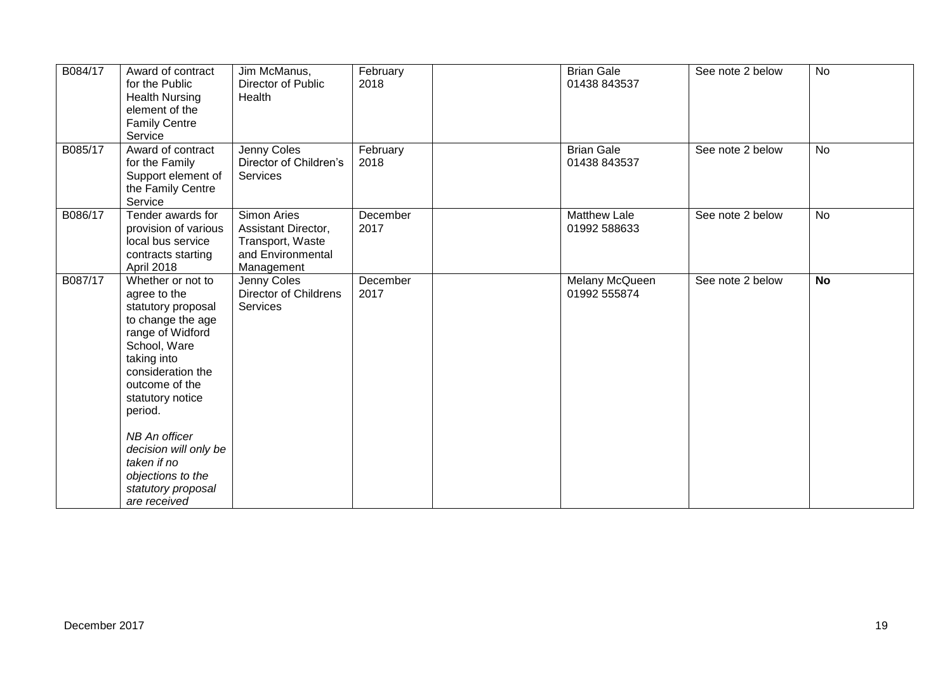| B084/17 | Award of contract<br>for the Public<br><b>Health Nursing</b><br>element of the<br><b>Family Centre</b><br>Service                                                                                                                                                                                                         | Jim McManus,<br>Director of Public<br>Health                                              | February<br>2018 | <b>Brian Gale</b><br>01438 843537   | See note 2 below | <b>No</b> |
|---------|---------------------------------------------------------------------------------------------------------------------------------------------------------------------------------------------------------------------------------------------------------------------------------------------------------------------------|-------------------------------------------------------------------------------------------|------------------|-------------------------------------|------------------|-----------|
| B085/17 | Award of contract<br>for the Family<br>Support element of<br>the Family Centre<br>Service                                                                                                                                                                                                                                 | Jenny Coles<br>Director of Children's<br>Services                                         | February<br>2018 | <b>Brian Gale</b><br>01438 843537   | See note 2 below | No        |
| B086/17 | Tender awards for<br>provision of various<br>local bus service<br>contracts starting<br>April 2018                                                                                                                                                                                                                        | Simon Aries<br>Assistant Director,<br>Transport, Waste<br>and Environmental<br>Management | December<br>2017 | <b>Matthew Lale</b><br>01992 588633 | See note 2 below | No        |
| B087/17 | Whether or not to<br>agree to the<br>statutory proposal<br>to change the age<br>range of Widford<br>School, Ware<br>taking into<br>consideration the<br>outcome of the<br>statutory notice<br>period.<br>NB An officer<br>decision will only be<br>taken if no<br>objections to the<br>statutory proposal<br>are received | Jenny Coles<br>Director of Childrens<br>Services                                          | December<br>2017 | Melany McQueen<br>01992 555874      | See note 2 below | <b>No</b> |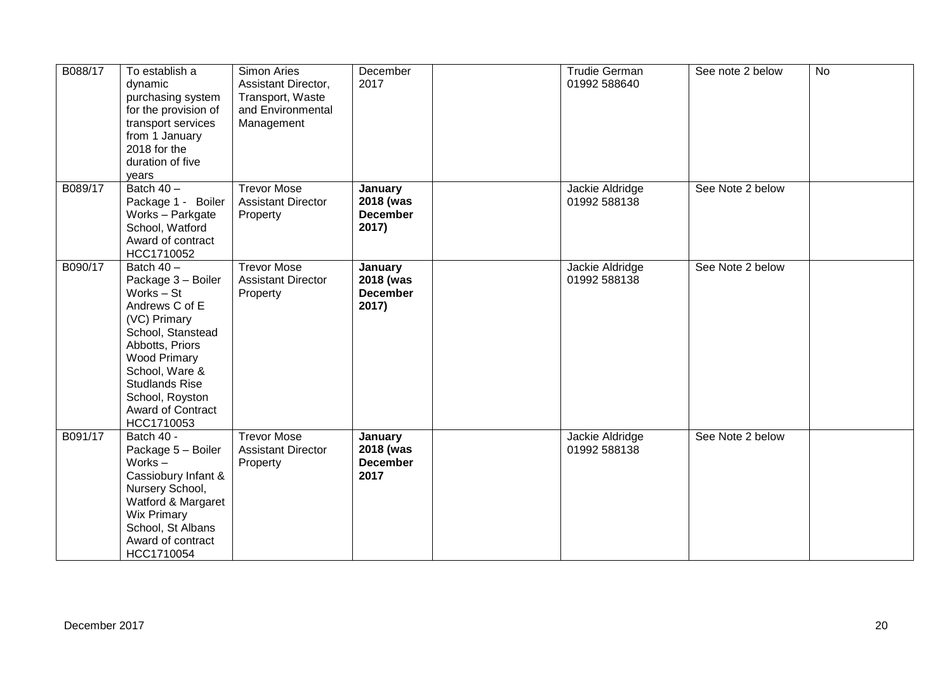| B088/17 | To establish a<br>dynamic<br>purchasing system<br>for the provision of<br>transport services<br>from 1 January<br>2018 for the<br>duration of five<br>years                                                                                        | Simon Aries<br>Assistant Director,<br>Transport, Waste<br>and Environmental<br>Management | December<br>2017                                 | <b>Trudie German</b><br>01992 588640 | See note 2 below | <b>No</b> |
|---------|----------------------------------------------------------------------------------------------------------------------------------------------------------------------------------------------------------------------------------------------------|-------------------------------------------------------------------------------------------|--------------------------------------------------|--------------------------------------|------------------|-----------|
| B089/17 | Batch $40 -$<br>Package 1 - Boiler<br>Works - Parkgate<br>School, Watford<br>Award of contract<br>HCC1710052                                                                                                                                       | <b>Trevor Mose</b><br><b>Assistant Director</b><br>Property                               | January<br>2018 (was<br><b>December</b><br>2017) | Jackie Aldridge<br>01992 588138      | See Note 2 below |           |
| B090/17 | Batch $40 -$<br>Package 3 - Boiler<br>Works - St<br>Andrews C of E<br>(VC) Primary<br>School, Stanstead<br>Abbotts, Priors<br><b>Wood Primary</b><br>School, Ware &<br><b>Studlands Rise</b><br>School, Royston<br>Award of Contract<br>HCC1710053 | <b>Trevor Mose</b><br><b>Assistant Director</b><br>Property                               | January<br>2018 (was<br><b>December</b><br>2017) | Jackie Aldridge<br>01992 588138      | See Note 2 below |           |
| B091/17 | Batch 40 -<br>Package 5 - Boiler<br>Works $-$<br>Cassiobury Infant &<br>Nursery School,<br>Watford & Margaret<br><b>Wix Primary</b><br>School, St Albans<br>Award of contract<br>HCC1710054                                                        | <b>Trevor Mose</b><br><b>Assistant Director</b><br>Property                               | January<br>2018 (was<br><b>December</b><br>2017  | Jackie Aldridge<br>01992 588138      | See Note 2 below |           |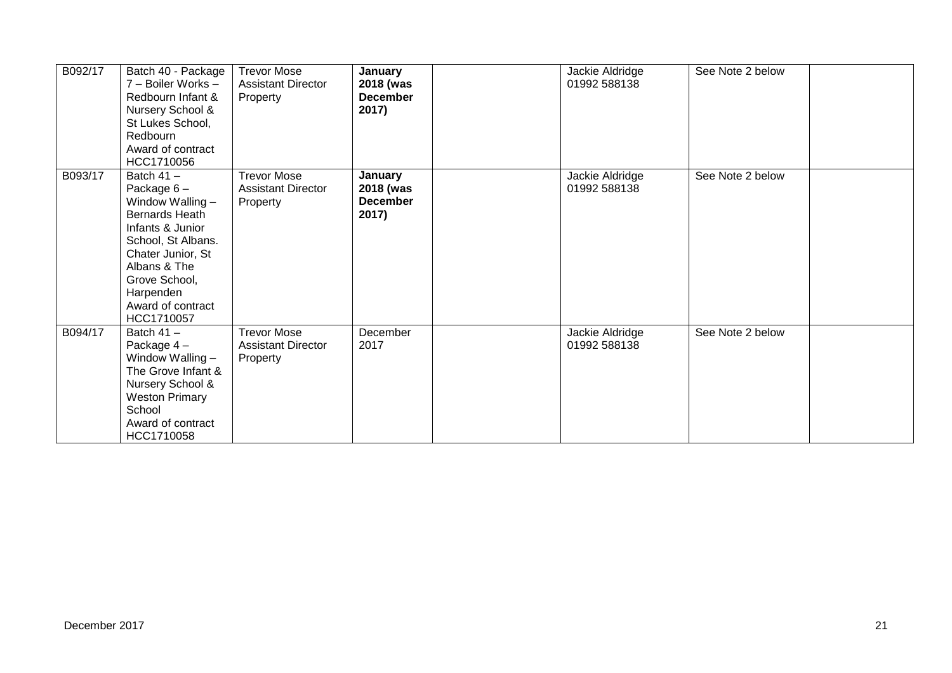| B092/17 | Batch 40 - Package<br>7 - Boiler Works -<br>Redbourn Infant &<br>Nursery School &<br>St Lukes School,<br>Redbourn<br>Award of contract<br>HCC1710056                                                               | <b>Trevor Mose</b><br><b>Assistant Director</b><br>Property | January<br>2018 (was<br><b>December</b><br>2017) | Jackie Aldridge<br>01992 588138 | See Note 2 below |  |
|---------|--------------------------------------------------------------------------------------------------------------------------------------------------------------------------------------------------------------------|-------------------------------------------------------------|--------------------------------------------------|---------------------------------|------------------|--|
| B093/17 | Batch $41 -$<br>Package $6-$<br>Window Walling -<br>Bernards Heath<br>Infants & Junior<br>School, St Albans.<br>Chater Junior, St<br>Albans & The<br>Grove School,<br>Harpenden<br>Award of contract<br>HCC1710057 | <b>Trevor Mose</b><br><b>Assistant Director</b><br>Property | January<br>2018 (was<br><b>December</b><br>2017) | Jackie Aldridge<br>01992 588138 | See Note 2 below |  |
| B094/17 | Batch $41 -$<br>Package 4-<br>Window Walling -<br>The Grove Infant &<br>Nursery School &<br><b>Weston Primary</b><br>School<br>Award of contract<br>HCC1710058                                                     | <b>Trevor Mose</b><br><b>Assistant Director</b><br>Property | December<br>2017                                 | Jackie Aldridge<br>01992 588138 | See Note 2 below |  |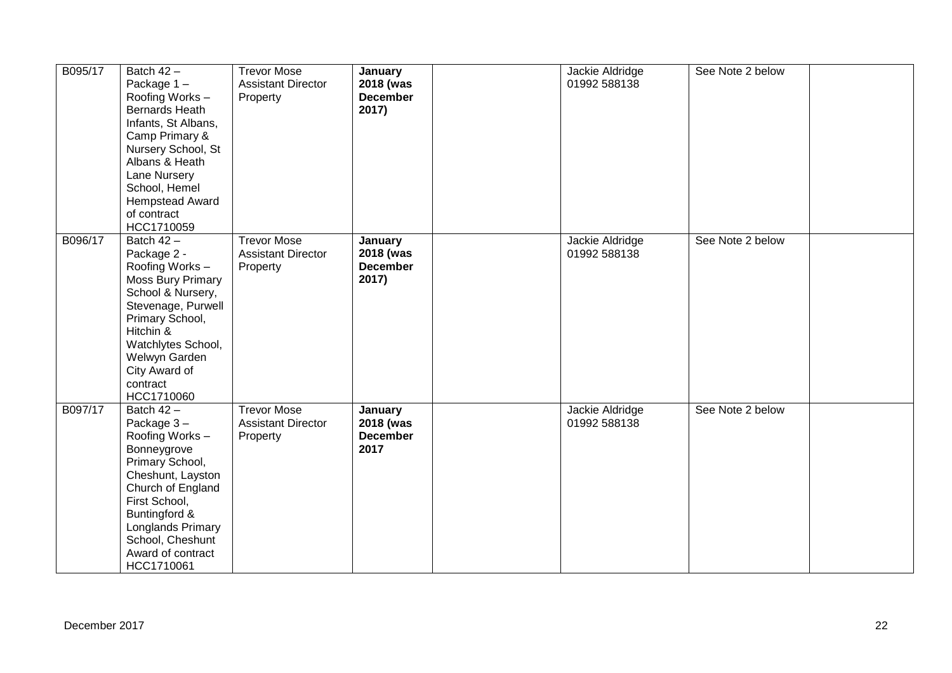| B095/17 | Batch $42 -$<br>Package 1-<br>Roofing Works -<br>Bernards Heath<br>Infants, St Albans,<br>Camp Primary &<br>Nursery School, St<br>Albans & Heath<br>Lane Nursery<br>School, Hemel<br>Hempstead Award<br>of contract<br>HCC1710059     | <b>Trevor Mose</b><br><b>Assistant Director</b><br>Property | January<br>2018 (was<br><b>December</b><br>2017) | Jackie Aldridge<br>01992 588138 | See Note 2 below |  |
|---------|---------------------------------------------------------------------------------------------------------------------------------------------------------------------------------------------------------------------------------------|-------------------------------------------------------------|--------------------------------------------------|---------------------------------|------------------|--|
| B096/17 | Batch 42 -<br>Package 2 -<br>Roofing Works -<br><b>Moss Bury Primary</b><br>School & Nursery,<br>Stevenage, Purwell<br>Primary School,<br>Hitchin &<br>Watchlytes School,<br>Welwyn Garden<br>City Award of<br>contract<br>HCC1710060 | <b>Trevor Mose</b><br><b>Assistant Director</b><br>Property | January<br>2018 (was<br><b>December</b><br>2017) | Jackie Aldridge<br>01992 588138 | See Note 2 below |  |
| B097/17 | Batch 42 -<br>Package 3-<br>Roofing Works -<br>Bonneygrove<br>Primary School,<br>Cheshunt, Layston<br>Church of England<br>First School,<br>Buntingford &<br>Longlands Primary<br>School, Cheshunt<br>Award of contract<br>HCC1710061 | <b>Trevor Mose</b><br><b>Assistant Director</b><br>Property | January<br>2018 (was<br><b>December</b><br>2017  | Jackie Aldridge<br>01992 588138 | See Note 2 below |  |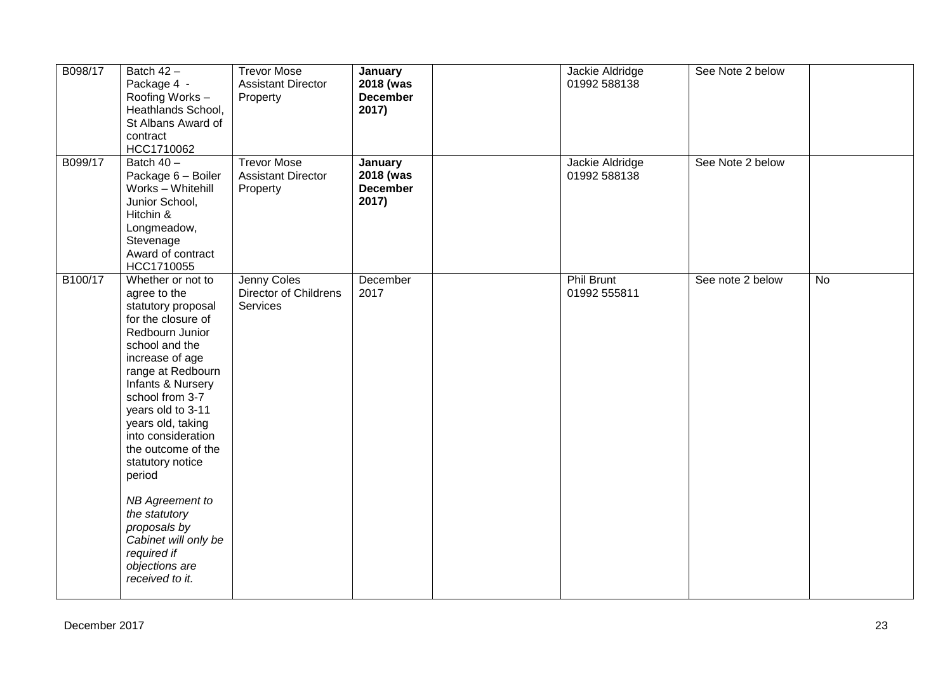| B098/17 | Batch $42 -$<br>Package 4 -<br>Roofing Works -<br>Heathlands School,<br>St Albans Award of<br>contract<br>HCC1710062                                                                                                                                                                                                                                                                                                                                   | <b>Trevor Mose</b><br><b>Assistant Director</b><br>Property | January<br>2018 (was<br><b>December</b><br>2017) | Jackie Aldridge<br>01992 588138   | See Note 2 below |    |
|---------|--------------------------------------------------------------------------------------------------------------------------------------------------------------------------------------------------------------------------------------------------------------------------------------------------------------------------------------------------------------------------------------------------------------------------------------------------------|-------------------------------------------------------------|--------------------------------------------------|-----------------------------------|------------------|----|
| B099/17 | Batch $40 -$<br>Package 6 - Boiler<br>Works - Whitehill<br>Junior School,<br>Hitchin &<br>Longmeadow,<br>Stevenage<br>Award of contract<br>HCC1710055                                                                                                                                                                                                                                                                                                  | <b>Trevor Mose</b><br><b>Assistant Director</b><br>Property | January<br>2018 (was<br><b>December</b><br>2017) | Jackie Aldridge<br>01992 588138   | See Note 2 below |    |
| B100/17 | Whether or not to<br>agree to the<br>statutory proposal<br>for the closure of<br>Redbourn Junior<br>school and the<br>increase of age<br>range at Redbourn<br>Infants & Nursery<br>school from 3-7<br>years old to 3-11<br>years old, taking<br>into consideration<br>the outcome of the<br>statutory notice<br>period<br>NB Agreement to<br>the statutory<br>proposals by<br>Cabinet will only be<br>required if<br>objections are<br>received to it. | Jenny Coles<br><b>Director of Childrens</b><br>Services     | December<br>2017                                 | <b>Phil Brunt</b><br>01992 555811 | See note 2 below | No |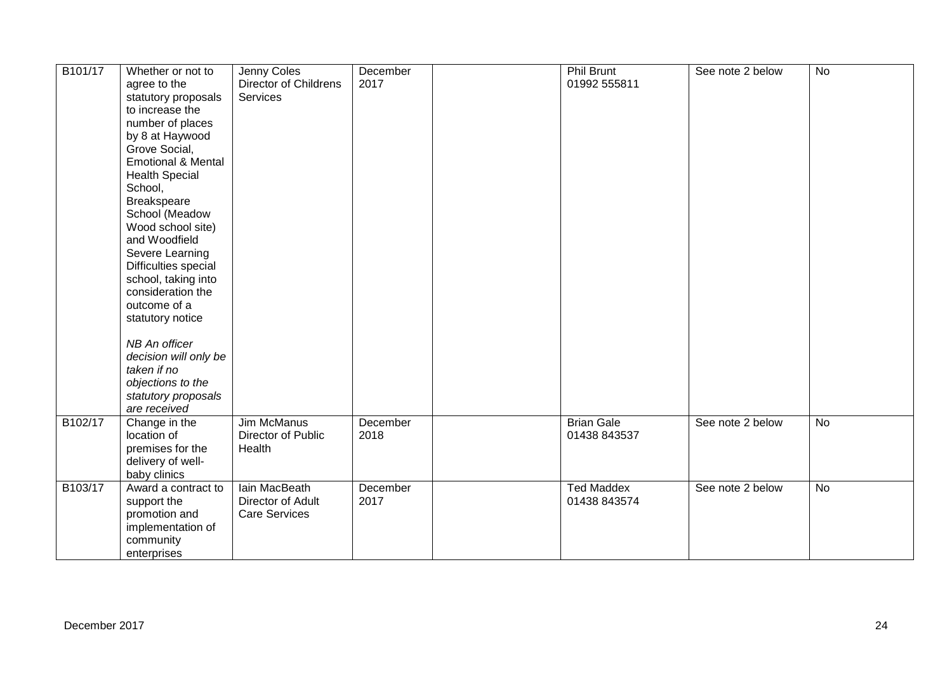| B101/17 | Whether or not to<br>agree to the<br>statutory proposals<br>to increase the<br>number of places<br>by 8 at Haywood<br>Grove Social,<br><b>Emotional &amp; Mental</b><br><b>Health Special</b><br>School,<br>Breakspeare<br>School (Meadow<br>Wood school site)<br>and Woodfield<br>Severe Learning<br>Difficulties special<br>school, taking into<br>consideration the<br>outcome of a<br>statutory notice<br>NB An officer<br>decision will only be<br>taken if no<br>objections to the<br>statutory proposals<br>are received | Jenny Coles<br><b>Director of Childrens</b><br>Services    | December<br>2017 | <b>Phil Brunt</b><br>01992 555811 | See note 2 below | No        |
|---------|---------------------------------------------------------------------------------------------------------------------------------------------------------------------------------------------------------------------------------------------------------------------------------------------------------------------------------------------------------------------------------------------------------------------------------------------------------------------------------------------------------------------------------|------------------------------------------------------------|------------------|-----------------------------------|------------------|-----------|
| B102/17 | Change in the<br>location of<br>premises for the<br>delivery of well-<br>baby clinics                                                                                                                                                                                                                                                                                                                                                                                                                                           | Jim McManus<br>Director of Public<br>Health                | December<br>2018 | <b>Brian Gale</b><br>01438 843537 | See note 2 below | <b>No</b> |
| B103/17 | Award a contract to<br>support the<br>promotion and<br>implementation of<br>community<br>enterprises                                                                                                                                                                                                                                                                                                                                                                                                                            | lain MacBeath<br>Director of Adult<br><b>Care Services</b> | December<br>2017 | <b>Ted Maddex</b><br>01438 843574 | See note 2 below | No        |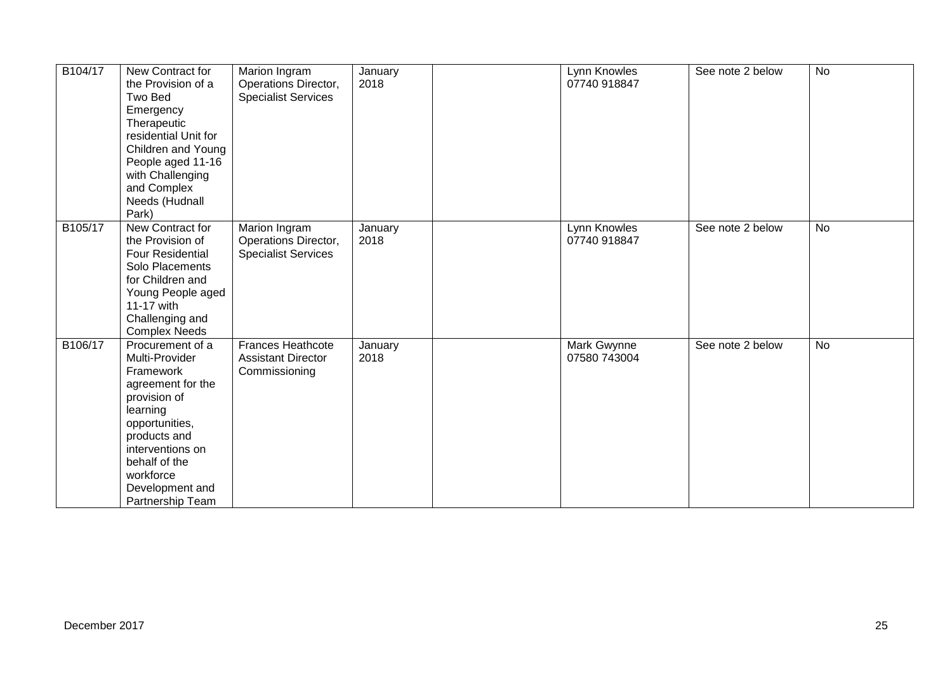| B104/17 | New Contract for<br>the Provision of a<br>Two Bed<br>Emergency<br>Therapeutic<br>residential Unit for<br>Children and Young<br>People aged 11-16<br>with Challenging<br>and Complex                                         | Marion Ingram<br>Operations Director,<br><b>Specialist Services</b>    | January<br>2018 | Lynn Knowles<br>07740 918847 | See note 2 below | <b>No</b> |
|---------|-----------------------------------------------------------------------------------------------------------------------------------------------------------------------------------------------------------------------------|------------------------------------------------------------------------|-----------------|------------------------------|------------------|-----------|
|         | Needs (Hudnall<br>Park)                                                                                                                                                                                                     |                                                                        |                 |                              |                  |           |
| B105/17 | New Contract for<br>the Provision of<br><b>Four Residential</b><br>Solo Placements<br>for Children and<br>Young People aged<br>11-17 with<br>Challenging and<br><b>Complex Needs</b>                                        | Marion Ingram<br>Operations Director,<br><b>Specialist Services</b>    | January<br>2018 | Lynn Knowles<br>07740 918847 | See note 2 below | No        |
| B106/17 | Procurement of a<br>Multi-Provider<br>Framework<br>agreement for the<br>provision of<br>learning<br>opportunities,<br>products and<br>interventions on<br>behalf of the<br>workforce<br>Development and<br>Partnership Team | <b>Frances Heathcote</b><br><b>Assistant Director</b><br>Commissioning | January<br>2018 | Mark Gwynne<br>07580 743004  | See note 2 below | <b>No</b> |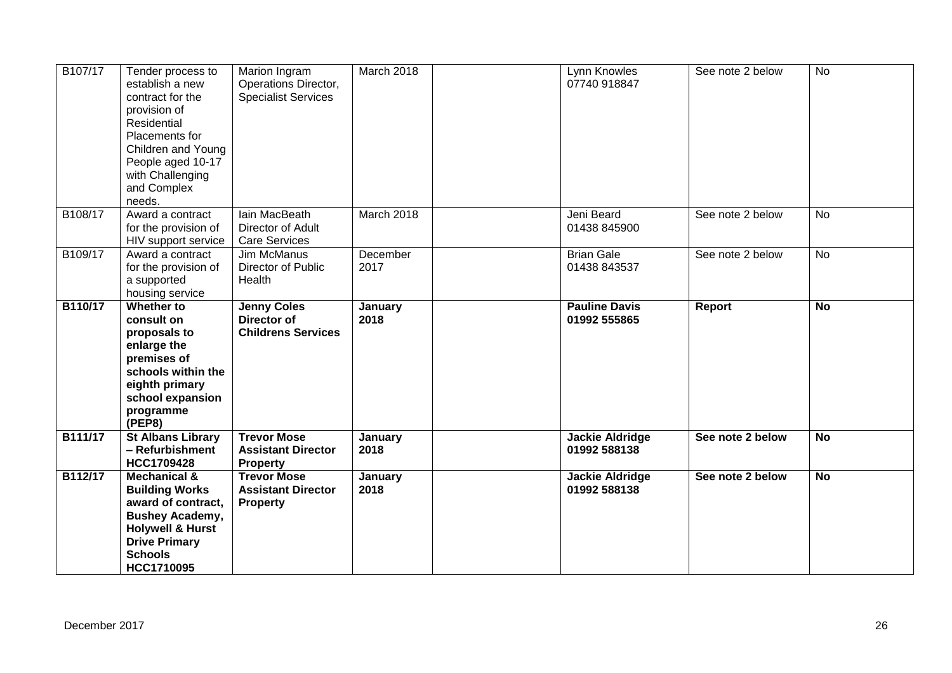| B107/17 | Tender process to<br>establish a new<br>contract for the<br>provision of<br>Residential<br>Placements for<br>Children and Young<br>People aged 10-17<br>with Challenging<br>and Complex<br>needs. | Marion Ingram<br>Operations Director,<br><b>Specialist Services</b>   | March 2018       | Lynn Knowles<br>07740 918847           | See note 2 below | <b>No</b> |
|---------|---------------------------------------------------------------------------------------------------------------------------------------------------------------------------------------------------|-----------------------------------------------------------------------|------------------|----------------------------------------|------------------|-----------|
| B108/17 | Award a contract<br>for the provision of<br>HIV support service                                                                                                                                   | Iain MacBeath<br>Director of Adult<br>Care Services                   | March 2018       | Jeni Beard<br>01438 845900             | See note 2 below | <b>No</b> |
| B109/17 | Award a contract<br>for the provision of<br>a supported<br>housing service                                                                                                                        | Jim McManus<br>Director of Public<br>Health                           | December<br>2017 | <b>Brian Gale</b><br>01438 843537      | See note 2 below | No        |
| B110/17 | Whether to<br>consult on<br>proposals to<br>enlarge the<br>premises of<br>schools within the<br>eighth primary<br>school expansion<br>programme<br>(PEP8)                                         | <b>Jenny Coles</b><br><b>Director of</b><br><b>Childrens Services</b> | January<br>2018  | <b>Pauline Davis</b><br>01992 555865   | Report           | <b>No</b> |
| B111/17 | <b>St Albans Library</b><br>- Refurbishment<br><b>HCC1709428</b>                                                                                                                                  | <b>Trevor Mose</b><br><b>Assistant Director</b><br><b>Property</b>    | January<br>2018  | <b>Jackie Aldridge</b><br>01992 588138 | See note 2 below | <b>No</b> |
| B112/17 | <b>Mechanical &amp;</b><br><b>Building Works</b><br>award of contract,<br><b>Bushey Academy,</b><br><b>Holywell &amp; Hurst</b><br><b>Drive Primary</b>                                           | <b>Trevor Mose</b><br><b>Assistant Director</b><br><b>Property</b>    | January<br>2018  | <b>Jackie Aldridge</b><br>01992 588138 | See note 2 below | <b>No</b> |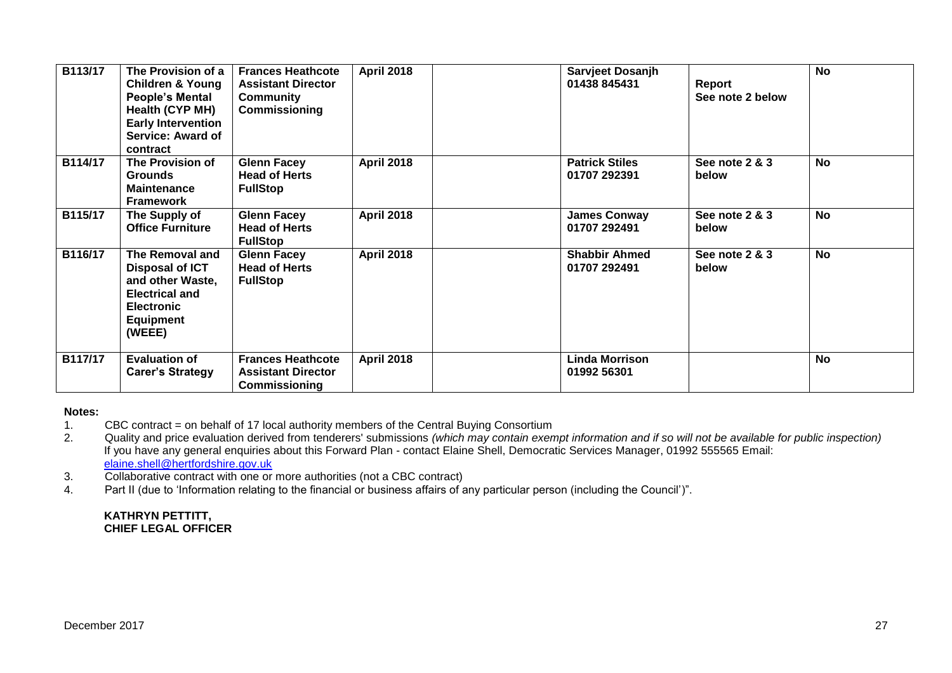| B113/17 | The Provision of a<br><b>Children &amp; Young</b><br><b>People's Mental</b><br>Health (CYP MH)<br><b>Early Intervention</b><br>Service: Award of<br>contract | <b>Frances Heathcote</b><br><b>Assistant Director</b><br><b>Community</b><br>Commissioning | <b>April 2018</b> | Sarvjeet Dosanjh<br>01438 845431      | Report<br>See note 2 below | <b>No</b> |
|---------|--------------------------------------------------------------------------------------------------------------------------------------------------------------|--------------------------------------------------------------------------------------------|-------------------|---------------------------------------|----------------------------|-----------|
| B114/17 | The Provision of<br><b>Grounds</b><br><b>Maintenance</b><br><b>Framework</b>                                                                                 | <b>Glenn Facey</b><br><b>Head of Herts</b><br><b>FullStop</b>                              | <b>April 2018</b> | <b>Patrick Stiles</b><br>01707 292391 | See note 2 & 3<br>below    | <b>No</b> |
| B115/17 | The Supply of<br><b>Office Furniture</b>                                                                                                                     | <b>Glenn Facey</b><br><b>Head of Herts</b><br><b>FullStop</b>                              | <b>April 2018</b> | <b>James Conway</b><br>01707 292491   | See note 2 & 3<br>below    | <b>No</b> |
| B116/17 | The Removal and<br><b>Disposal of ICT</b><br>and other Waste,<br><b>Electrical and</b><br><b>Electronic</b><br><b>Equipment</b><br>(WEEE)                    | <b>Glenn Facey</b><br><b>Head of Herts</b><br><b>FullStop</b>                              | <b>April 2018</b> | <b>Shabbir Ahmed</b><br>01707 292491  | See note 2 & 3<br>below    | <b>No</b> |
| B117/17 | <b>Evaluation of</b><br><b>Carer's Strategy</b>                                                                                                              | <b>Frances Heathcote</b><br><b>Assistant Director</b><br>Commissioning                     | <b>April 2018</b> | <b>Linda Morrison</b><br>01992 56301  |                            | <b>No</b> |

#### **Notes:**

1. CBC contract = on behalf of 17 local authority members of the Central Buying Consortium<br>2. Quality and price evaluation derived from tenderers' submissions (which may contain exen

2. Quality and price evaluation derived from tenderers' submissions *(which may contain exempt information and if so will not be available for public inspection)* If you have any general enquiries about this Forward Plan - contact Elaine Shell, Democratic Services Manager, 01992 555565 Email: [elaine.shell@hertfordshire.gov.uk](mailto:elaine.shell@hertfordshire.gov.uk) 

3. Collaborative contract with one or more authorities (not a CBC contract)

4. Part II (due to 'Information relating to the financial or business affairs of any particular person (including the Council')".

#### **KATHRYN PETTITT, CHIEF LEGAL OFFICER**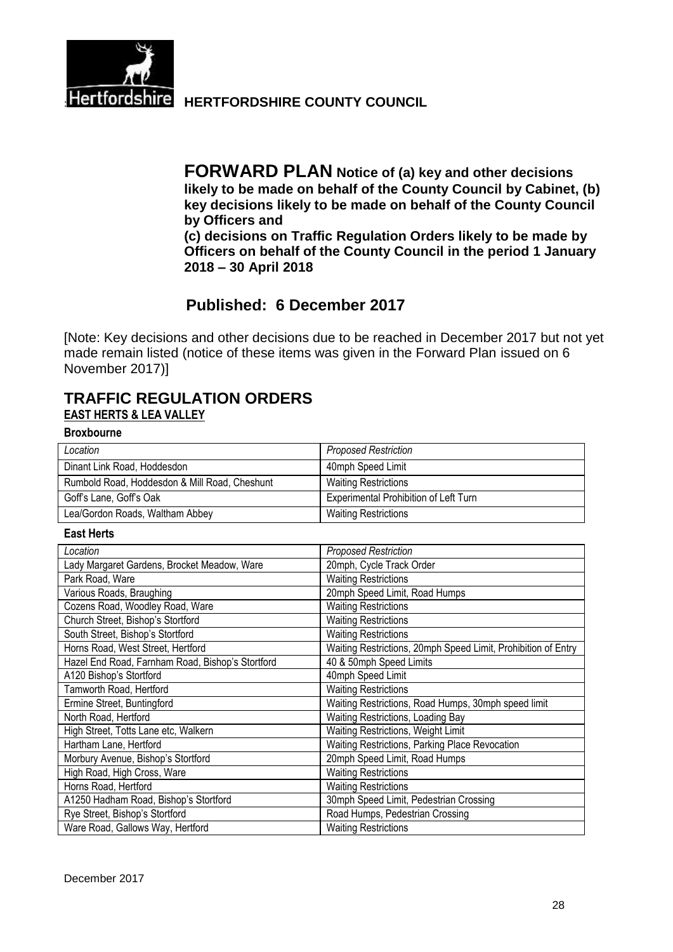

**Hertfordshire HERTFORDSHIRE COUNTY COUNCIL** 

**FORWARD PLAN Notice of (a) key and other decisions likely to be made on behalf of the County Council by Cabinet, (b) key decisions likely to be made on behalf of the County Council by Officers and (c) decisions on Traffic Regulation Orders likely to be made by Officers on behalf of the County Council in the period 1 January** 

**2018 – 30 April 2018**

# **Published: 6 December 2017**

[Note: Key decisions and other decisions due to be reached in December 2017 but not yet made remain listed (notice of these items was given in the Forward Plan issued on 6 November 2017)]

## **TRAFFIC REGULATION ORDERS EAST HERTS & LEA VALLEY**

**Broxbourne**

| Location                                      | <b>Proposed Restriction</b>           |
|-----------------------------------------------|---------------------------------------|
| Dinant Link Road, Hoddesdon                   | 40mph Speed Limit                     |
| Rumbold Road, Hoddesdon & Mill Road, Cheshunt | <b>Waiting Restrictions</b>           |
| Goff's Lane, Goff's Oak                       | Experimental Prohibition of Left Turn |
| Lea/Gordon Roads, Waltham Abbey               | <b>Waiting Restrictions</b>           |

#### **East Herts**

| Location                                         | <b>Proposed Restriction</b>                                   |
|--------------------------------------------------|---------------------------------------------------------------|
| Lady Margaret Gardens, Brocket Meadow, Ware      | 20mph, Cycle Track Order                                      |
| Park Road, Ware                                  | <b>Waiting Restrictions</b>                                   |
| Various Roads, Braughing                         | 20mph Speed Limit, Road Humps                                 |
| Cozens Road, Woodley Road, Ware                  | <b>Waiting Restrictions</b>                                   |
| Church Street, Bishop's Stortford                | <b>Waiting Restrictions</b>                                   |
| South Street, Bishop's Stortford                 | <b>Waiting Restrictions</b>                                   |
| Horns Road, West Street, Hertford                | Waiting Restrictions, 20mph Speed Limit, Prohibition of Entry |
| Hazel End Road, Farnham Road, Bishop's Stortford | 40 & 50mph Speed Limits                                       |
| A120 Bishop's Stortford                          | 40mph Speed Limit                                             |
| Tamworth Road, Hertford                          | <b>Waiting Restrictions</b>                                   |
| Ermine Street, Buntingford                       | Waiting Restrictions, Road Humps, 30mph speed limit           |
| North Road, Hertford                             | Waiting Restrictions, Loading Bay                             |
| High Street, Totts Lane etc, Walkern             | Waiting Restrictions, Weight Limit                            |
| Hartham Lane, Hertford                           | Waiting Restrictions, Parking Place Revocation                |
| Morbury Avenue, Bishop's Stortford               | 20mph Speed Limit, Road Humps                                 |
| High Road, High Cross, Ware                      | <b>Waiting Restrictions</b>                                   |
| Horns Road, Hertford                             | <b>Waiting Restrictions</b>                                   |
| A1250 Hadham Road, Bishop's Stortford            | 30mph Speed Limit, Pedestrian Crossing                        |
| Rye Street, Bishop's Stortford                   | Road Humps, Pedestrian Crossing                               |
| Ware Road, Gallows Way, Hertford                 | <b>Waiting Restrictions</b>                                   |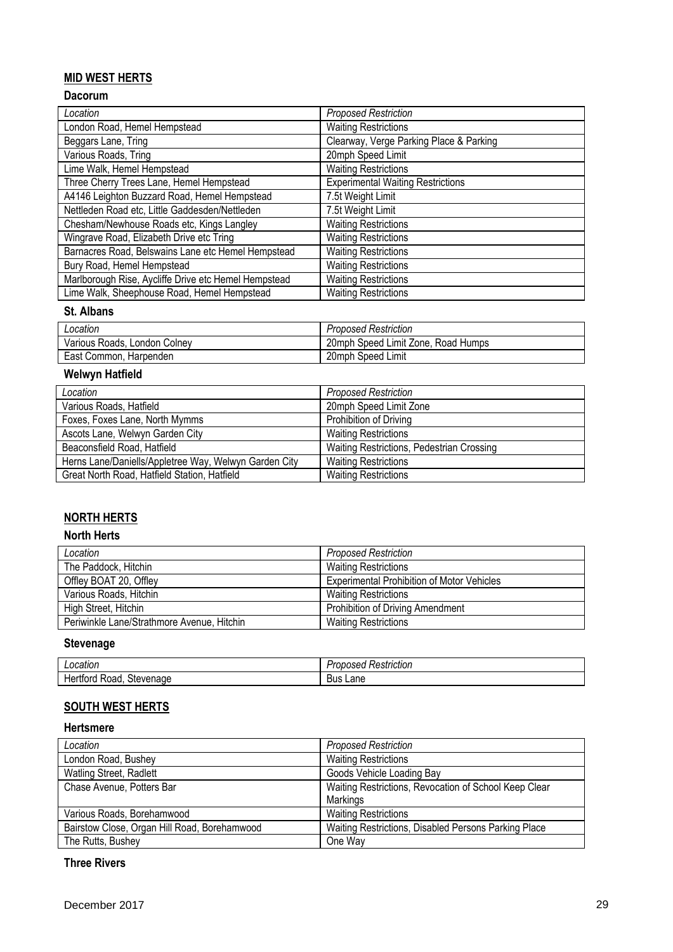## **MID WEST HERTS**

## **Dacorum**

| Location                                             | <b>Proposed Restriction</b>              |
|------------------------------------------------------|------------------------------------------|
| London Road, Hemel Hempstead                         | <b>Waiting Restrictions</b>              |
| Beggars Lane, Tring                                  | Clearway, Verge Parking Place & Parking  |
| Various Roads, Tring                                 | 20mph Speed Limit                        |
| Lime Walk, Hemel Hempstead                           | <b>Waiting Restrictions</b>              |
| Three Cherry Trees Lane, Hemel Hempstead             | <b>Experimental Waiting Restrictions</b> |
| A4146 Leighton Buzzard Road, Hemel Hempstead         | 7.5t Weight Limit                        |
| Nettleden Road etc, Little Gaddesden/Nettleden       | 7.5t Weight Limit                        |
| Chesham/Newhouse Roads etc, Kings Langley            | <b>Waiting Restrictions</b>              |
| Wingrave Road, Elizabeth Drive etc Tring             | <b>Waiting Restrictions</b>              |
| Barnacres Road, Belswains Lane etc Hemel Hempstead   | <b>Waiting Restrictions</b>              |
| Bury Road, Hemel Hempstead                           | <b>Waiting Restrictions</b>              |
| Marlborough Rise, Aycliffe Drive etc Hemel Hempstead | <b>Waiting Restrictions</b>              |
| Lime Walk, Sheephouse Road, Hemel Hempstead          | <b>Waiting Restrictions</b>              |

### **St. Albans**

| Location                     | <b>Proposed Restriction</b>        |
|------------------------------|------------------------------------|
| Various Roads, London Colney | 20mph Speed Limit Zone, Road Humps |
| East Common, Harpenden       | 20mph Speed Limit                  |

## **Welwyn Hatfield**

| Location                                              | <b>Proposed Restriction</b>               |
|-------------------------------------------------------|-------------------------------------------|
| Various Roads, Hatfield                               | 20mph Speed Limit Zone                    |
| Foxes, Foxes Lane, North Mymms                        | Prohibition of Driving                    |
| Ascots Lane, Welwyn Garden City                       | <b>Waiting Restrictions</b>               |
| Beaconsfield Road, Hatfield                           | Waiting Restrictions, Pedestrian Crossing |
| Herns Lane/Daniells/Appletree Way, Welwyn Garden City | <b>Waiting Restrictions</b>               |
| Great North Road, Hatfield Station, Hatfield          | <b>Waiting Restrictions</b>               |

## **NORTH HERTS**

#### **North Herts**

| Location                                   | <b>Proposed Restriction</b>                       |
|--------------------------------------------|---------------------------------------------------|
| The Paddock, Hitchin                       | <b>Waiting Restrictions</b>                       |
| Offley BOAT 20, Offley                     | <b>Experimental Prohibition of Motor Vehicles</b> |
| Various Roads, Hitchin                     | <b>Waiting Restrictions</b>                       |
| High Street, Hitchin                       | Prohibition of Driving Amendment                  |
| Periwinkle Lane/Strathmore Avenue, Hitchin | <b>Waiting Restrictions</b>                       |

## **Stevenage**

| - - - - - -<br>cation<br>.      | $-1$<br>7Sec<br>Restriction<br>,,, |
|---------------------------------|------------------------------------|
| Stevenage<br>ora<br>⊓≏<br>ROAG. | -<br>Lane<br>Bus                   |

## **SOUTH WEST HERTS**

#### **Hertsmere**

| Location                                     | <b>Proposed Restriction</b>                           |
|----------------------------------------------|-------------------------------------------------------|
| London Road, Bushey                          | <b>Waiting Restrictions</b>                           |
| Watling Street, Radlett                      | Goods Vehicle Loading Bay                             |
| Chase Avenue, Potters Bar                    | Waiting Restrictions, Revocation of School Keep Clear |
|                                              | Markings                                              |
| Various Roads, Borehamwood                   | <b>Waiting Restrictions</b>                           |
| Bairstow Close, Organ Hill Road, Borehamwood | Waiting Restrictions, Disabled Persons Parking Place  |
| The Rutts, Bushey                            | One Way                                               |

## **Three Rivers**